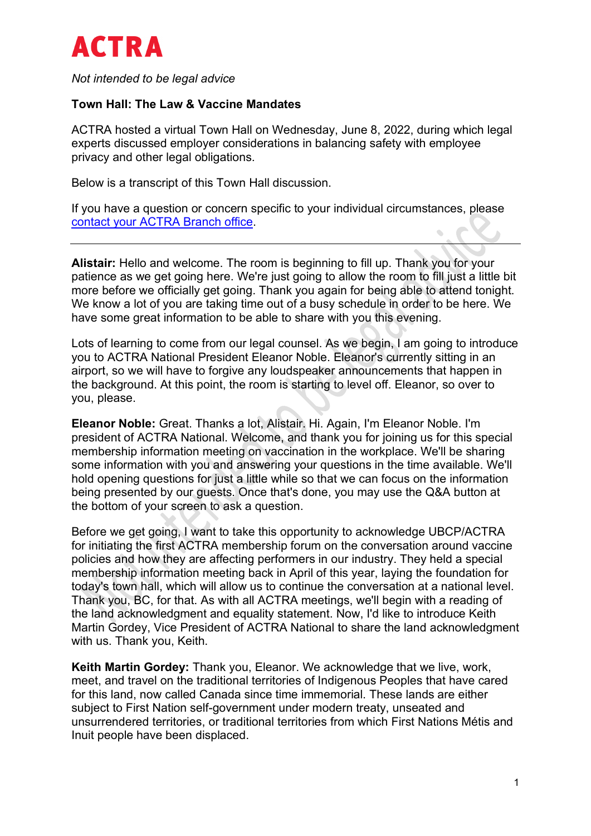

*Not intended to be legal advice*

#### **Town Hall: The Law & Vaccine Mandates**

ACTRA hosted a virtual Town Hall on Wednesday, June 8, 2022, during which legal experts discussed employer considerations in balancing safety with employee privacy and other legal obligations.

Below is a transcript of this Town Hall discussion.

If you have a question or concern specific to your individual circumstances, please [contact your ACTRA Branch office.](https://www.actra.ca/branch-contacts/)

**Alistair:** Hello and welcome. The room is beginning to fill up. Thank you for your patience as we get going here. We're just going to allow the room to fill just a little bit more before we officially get going. Thank you again for being able to attend tonight. We know a lot of you are taking time out of a busy schedule in order to be here. We have some great information to be able to share with you this evening.

Lots of learning to come from our legal counsel. As we begin, I am going to introduce you to ACTRA National President Eleanor Noble. Eleanor's currently sitting in an airport, so we will have to forgive any loudspeaker announcements that happen in the background. At this point, the room is starting to level off. Eleanor, so over to you, please.

**Eleanor Noble:** Great. Thanks a lot, Alistair. Hi. Again, I'm Eleanor Noble. I'm president of ACTRA National. Welcome, and thank you for joining us for this special membership information meeting on vaccination in the workplace. We'll be sharing some information with you and answering your questions in the time available. We'll hold opening questions for just a little while so that we can focus on the information being presented by our guests. Once that's done, you may use the Q&A button at the bottom of your screen to ask a question.

Before we get going, I want to take this opportunity to acknowledge UBCP/ACTRA for initiating the first ACTRA membership forum on the conversation around vaccine policies and how they are affecting performers in our industry. They held a special membership information meeting back in April of this year, laying the foundation for today's town hall, which will allow us to continue the conversation at a national level. Thank you, BC, for that. As with all ACTRA meetings, we'll begin with a reading of the land acknowledgment and equality statement. Now, I'd like to introduce Keith Martin Gordey, Vice President of ACTRA National to share the land acknowledgment with us. Thank you, Keith.

**Keith Martin Gordey:** Thank you, Eleanor. We acknowledge that we live, work, meet, and travel on the traditional territories of Indigenous Peoples that have cared for this land, now called Canada since time immemorial. These lands are either subject to First Nation self-government under modern treaty, unseated and unsurrendered territories, or traditional territories from which First Nations Métis and Inuit people have been displaced.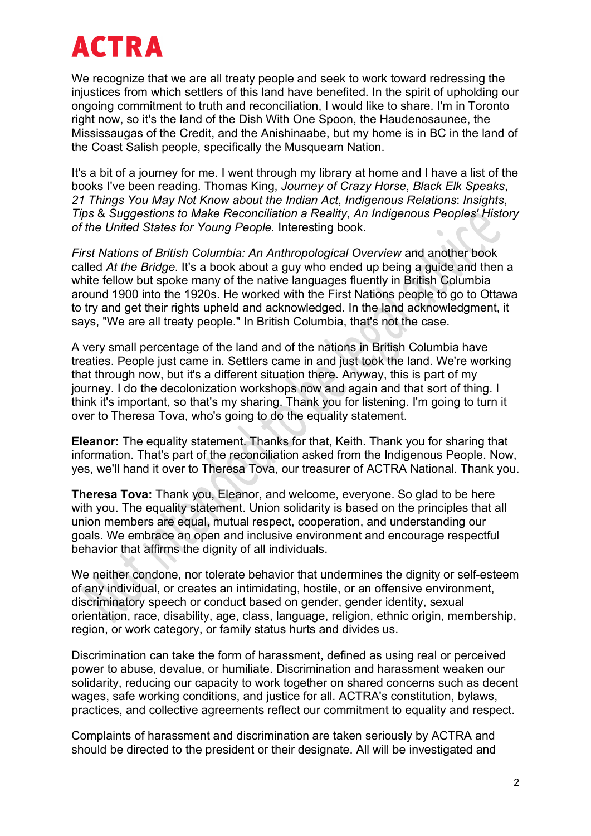We recognize that we are all treaty people and seek to work toward redressing the injustices from which settlers of this land have benefited. In the spirit of upholding our ongoing commitment to truth and reconciliation, I would like to share. I'm in Toronto right now, so it's the land of the Dish With One Spoon, the Haudenosaunee, the Mississaugas of the Credit, and the Anishinaabe, but my home is in BC in the land of the Coast Salish people, specifically the Musqueam Nation.

It's a bit of a journey for me. I went through my library at home and I have a list of the books I've been reading. Thomas King, *Journey of Crazy Horse*, *Black Elk Speaks*, *21 Things You May Not Know about the Indian Act*, *Indigenous Relations*: *Insights*, *Tips* & *Suggestions to Make Reconciliation a Reality*, *An Indigenous Peoples' History of the United States for Young People.* Interesting book.

*First Nations of British Columbia: An Anthropological Overview* and another book called *At the Bridge*. It's a book about a guy who ended up being a guide and then a white fellow but spoke many of the native languages fluently in British Columbia around 1900 into the 1920s. He worked with the First Nations people to go to Ottawa to try and get their rights upheld and acknowledged. In the land acknowledgment, it says, "We are all treaty people." In British Columbia, that's not the case.

A very small percentage of the land and of the nations in British Columbia have treaties. People just came in. Settlers came in and just took the land. We're working that through now, but it's a different situation there. Anyway, this is part of my journey. I do the decolonization workshops now and again and that sort of thing. I think it's important, so that's my sharing. Thank you for listening. I'm going to turn it over to Theresa Tova, who's going to do the equality statement.

**Eleanor:** The equality statement. Thanks for that, Keith. Thank you for sharing that information. That's part of the reconciliation asked from the Indigenous People. Now, yes, we'll hand it over to Theresa Tova, our treasurer of ACTRA National. Thank you.

**Theresa Tova:** Thank you, Eleanor, and welcome, everyone. So glad to be here with you. The equality statement. Union solidarity is based on the principles that all union members are equal, mutual respect, cooperation, and understanding our goals. We embrace an open and inclusive environment and encourage respectful behavior that affirms the dignity of all individuals.

We neither condone, nor tolerate behavior that undermines the dignity or self-esteem of any individual, or creates an intimidating, hostile, or an offensive environment, discriminatory speech or conduct based on gender, gender identity, sexual orientation, race, disability, age, class, language, religion, ethnic origin, membership, region, or work category, or family status hurts and divides us.

Discrimination can take the form of harassment, defined as using real or perceived power to abuse, devalue, or humiliate. Discrimination and harassment weaken our solidarity, reducing our capacity to work together on shared concerns such as decent wages, safe working conditions, and justice for all. ACTRA's constitution, bylaws, practices, and collective agreements reflect our commitment to equality and respect.

Complaints of harassment and discrimination are taken seriously by ACTRA and should be directed to the president or their designate. All will be investigated and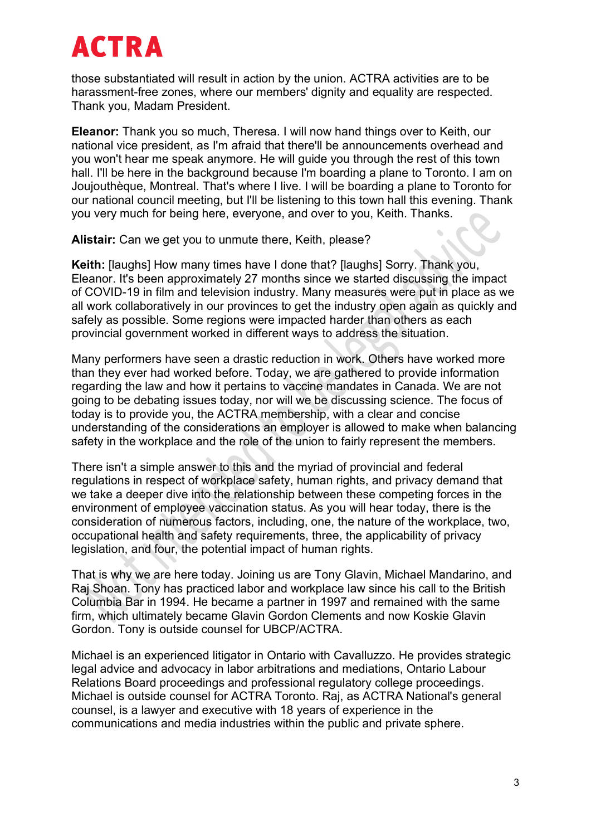those substantiated will result in action by the union. ACTRA activities are to be harassment-free zones, where our members' dignity and equality are respected. Thank you, Madam President.

**Eleanor:** Thank you so much, Theresa. I will now hand things over to Keith, our national vice president, as I'm afraid that there'll be announcements overhead and you won't hear me speak anymore. He will guide you through the rest of this town hall. I'll be here in the background because I'm boarding a plane to Toronto. I am on Joujouthèque, Montreal. That's where I live. I will be boarding a plane to Toronto for our national council meeting, but I'll be listening to this town hall this evening. Thank you very much for being here, everyone, and over to you, Keith. Thanks.

**Alistair:** Can we get you to unmute there, Keith, please?

**Keith:** [laughs] How many times have I done that? [laughs] Sorry. Thank you, Eleanor. It's been approximately 27 months since we started discussing the impact of COVID-19 in film and television industry. Many measures were put in place as we all work collaboratively in our provinces to get the industry open again as quickly and safely as possible. Some regions were impacted harder than others as each provincial government worked in different ways to address the situation.

Many performers have seen a drastic reduction in work. Others have worked more than they ever had worked before. Today, we are gathered to provide information regarding the law and how it pertains to vaccine mandates in Canada. We are not going to be debating issues today, nor will we be discussing science. The focus of today is to provide you, the ACTRA membership, with a clear and concise understanding of the considerations an employer is allowed to make when balancing safety in the workplace and the role of the union to fairly represent the members.

There isn't a simple answer to this and the myriad of provincial and federal regulations in respect of workplace safety, human rights, and privacy demand that we take a deeper dive into the relationship between these competing forces in the environment of employee vaccination status. As you will hear today, there is the consideration of numerous factors, including, one, the nature of the workplace, two, occupational health and safety requirements, three, the applicability of privacy legislation, and four, the potential impact of human rights.

That is why we are here today. Joining us are Tony Glavin, Michael Mandarino, and Raj Shoan. Tony has practiced labor and workplace law since his call to the British Columbia Bar in 1994. He became a partner in 1997 and remained with the same firm, which ultimately became Glavin Gordon Clements and now Koskie Glavin Gordon. Tony is outside counsel for UBCP/ACTRA.

Michael is an experienced litigator in Ontario with Cavalluzzo. He provides strategic legal advice and advocacy in labor arbitrations and mediations, Ontario Labour Relations Board proceedings and professional regulatory college proceedings. Michael is outside counsel for ACTRA Toronto. Raj, as ACTRA National's general counsel, is a lawyer and executive with 18 years of experience in the communications and media industries within the public and private sphere.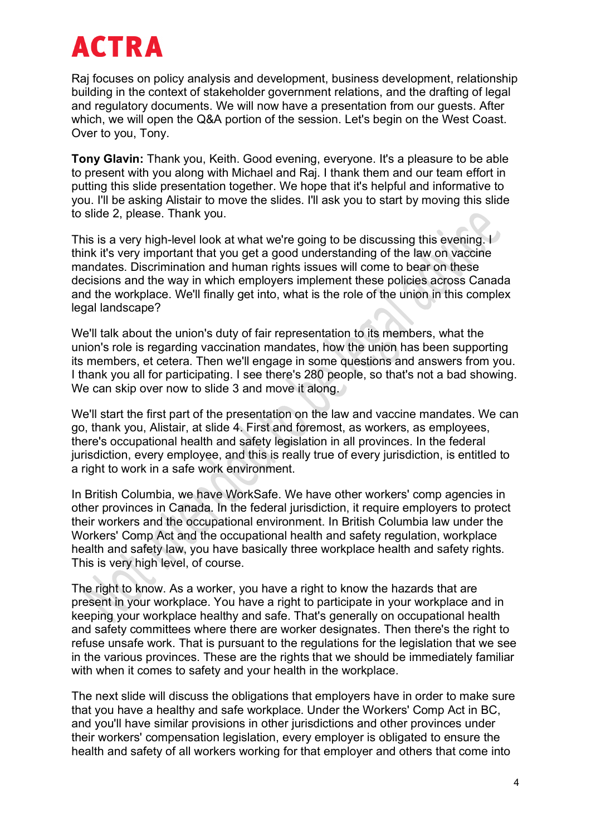Raj focuses on policy analysis and development, business development, relationship building in the context of stakeholder government relations, and the drafting of legal and regulatory documents. We will now have a presentation from our guests. After which, we will open the Q&A portion of the session. Let's begin on the West Coast. Over to you, Tony.

**Tony Glavin:** Thank you, Keith. Good evening, everyone. It's a pleasure to be able to present with you along with Michael and Raj. I thank them and our team effort in putting this slide presentation together. We hope that it's helpful and informative to you. I'll be asking Alistair to move the slides. I'll ask you to start by moving this slide to slide 2, please. Thank you.

This is a very high-level look at what we're going to be discussing this evening. I think it's very important that you get a good understanding of the law on vaccine mandates. Discrimination and human rights issues will come to bear on these decisions and the way in which employers implement these policies across Canada and the workplace. We'll finally get into, what is the role of the union in this complex legal landscape?

We'll talk about the union's duty of fair representation to its members, what the union's role is regarding vaccination mandates, how the union has been supporting its members, et cetera. Then we'll engage in some questions and answers from you. I thank you all for participating. I see there's 280 people, so that's not a bad showing. We can skip over now to slide 3 and move it along.

We'll start the first part of the presentation on the law and vaccine mandates. We can go, thank you, Alistair, at slide 4. First and foremost, as workers, as employees, there's occupational health and safety legislation in all provinces. In the federal jurisdiction, every employee, and this is really true of every jurisdiction, is entitled to a right to work in a safe work environment.

In British Columbia, we have WorkSafe. We have other workers' comp agencies in other provinces in Canada. In the federal jurisdiction, it require employers to protect their workers and the occupational environment. In British Columbia law under the Workers' Comp Act and the occupational health and safety regulation, workplace health and safety law, you have basically three workplace health and safety rights. This is very high level, of course.

The right to know. As a worker, you have a right to know the hazards that are present in your workplace. You have a right to participate in your workplace and in keeping your workplace healthy and safe. That's generally on occupational health and safety committees where there are worker designates. Then there's the right to refuse unsafe work. That is pursuant to the regulations for the legislation that we see in the various provinces. These are the rights that we should be immediately familiar with when it comes to safety and your health in the workplace.

The next slide will discuss the obligations that employers have in order to make sure that you have a healthy and safe workplace. Under the Workers' Comp Act in BC, and you'll have similar provisions in other jurisdictions and other provinces under their workers' compensation legislation, every employer is obligated to ensure the health and safety of all workers working for that employer and others that come into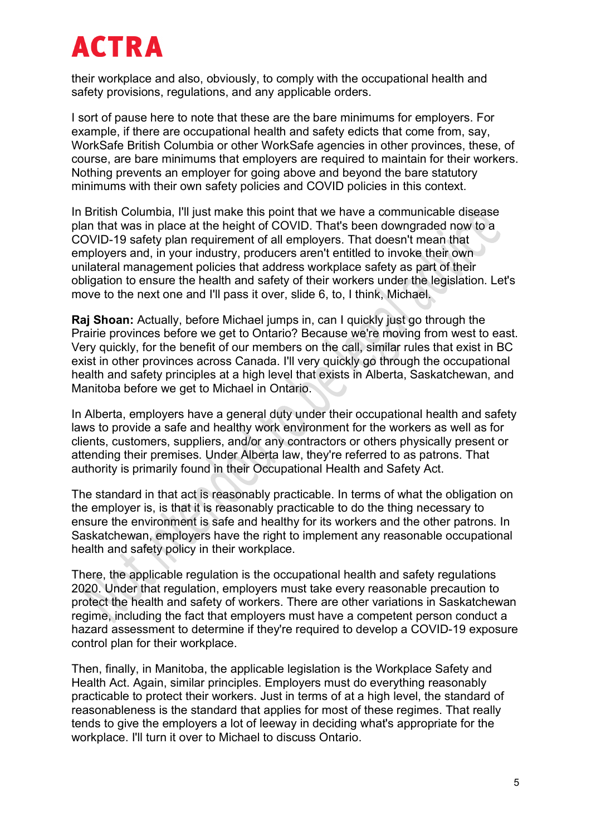their workplace and also, obviously, to comply with the occupational health and safety provisions, regulations, and any applicable orders.

I sort of pause here to note that these are the bare minimums for employers. For example, if there are occupational health and safety edicts that come from, say, WorkSafe British Columbia or other WorkSafe agencies in other provinces, these, of course, are bare minimums that employers are required to maintain for their workers. Nothing prevents an employer for going above and beyond the bare statutory minimums with their own safety policies and COVID policies in this context.

In British Columbia, I'll just make this point that we have a communicable disease plan that was in place at the height of COVID. That's been downgraded now to a COVID-19 safety plan requirement of all employers. That doesn't mean that employers and, in your industry, producers aren't entitled to invoke their own unilateral management policies that address workplace safety as part of their obligation to ensure the health and safety of their workers under the legislation. Let's move to the next one and I'll pass it over, slide 6, to, I think, Michael.

**Raj Shoan:** Actually, before Michael jumps in, can I quickly just go through the Prairie provinces before we get to Ontario? Because we're moving from west to east. Very quickly, for the benefit of our members on the call, similar rules that exist in BC exist in other provinces across Canada. I'll very quickly go through the occupational health and safety principles at a high level that exists in Alberta, Saskatchewan, and Manitoba before we get to Michael in Ontario.

In Alberta, employers have a general duty under their occupational health and safety laws to provide a safe and healthy work environment for the workers as well as for clients, customers, suppliers, and/or any contractors or others physically present or attending their premises. Under Alberta law, they're referred to as patrons. That authority is primarily found in their Occupational Health and Safety Act.

The standard in that act is reasonably practicable. In terms of what the obligation on the employer is, is that it is reasonably practicable to do the thing necessary to ensure the environment is safe and healthy for its workers and the other patrons. In Saskatchewan, employers have the right to implement any reasonable occupational health and safety policy in their workplace.

There, the applicable regulation is the occupational health and safety regulations 2020. Under that regulation, employers must take every reasonable precaution to protect the health and safety of workers. There are other variations in Saskatchewan regime, including the fact that employers must have a competent person conduct a hazard assessment to determine if they're required to develop a COVID-19 exposure control plan for their workplace.

Then, finally, in Manitoba, the applicable legislation is the Workplace Safety and Health Act. Again, similar principles. Employers must do everything reasonably practicable to protect their workers. Just in terms of at a high level, the standard of reasonableness is the standard that applies for most of these regimes. That really tends to give the employers a lot of leeway in deciding what's appropriate for the workplace. I'll turn it over to Michael to discuss Ontario.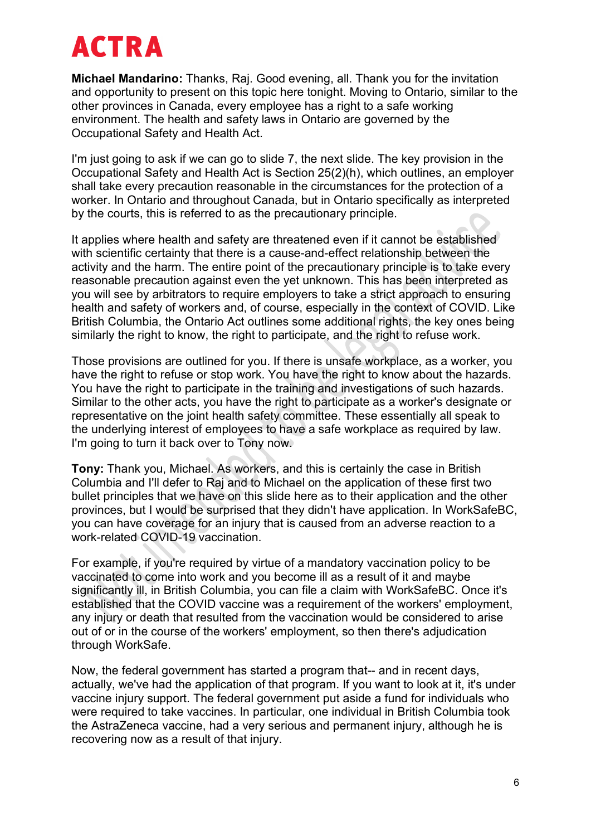**Michael Mandarino:** Thanks, Raj. Good evening, all. Thank you for the invitation and opportunity to present on this topic here tonight. Moving to Ontario, similar to the other provinces in Canada, every employee has a right to a safe working environment. The health and safety laws in Ontario are governed by the Occupational Safety and Health Act.

I'm just going to ask if we can go to slide 7, the next slide. The key provision in the Occupational Safety and Health Act is Section 25(2)(h), which outlines, an employer shall take every precaution reasonable in the circumstances for the protection of a worker. In Ontario and throughout Canada, but in Ontario specifically as interpreted by the courts, this is referred to as the precautionary principle.

It applies where health and safety are threatened even if it cannot be established with scientific certainty that there is a cause-and-effect relationship between the activity and the harm. The entire point of the precautionary principle is to take every reasonable precaution against even the yet unknown. This has been interpreted as you will see by arbitrators to require employers to take a strict approach to ensuring health and safety of workers and, of course, especially in the context of COVID. Like British Columbia, the Ontario Act outlines some additional rights, the key ones being similarly the right to know, the right to participate, and the right to refuse work.

Those provisions are outlined for you. If there is unsafe workplace, as a worker, you have the right to refuse or stop work. You have the right to know about the hazards. You have the right to participate in the training and investigations of such hazards. Similar to the other acts, you have the right to participate as a worker's designate or representative on the joint health safety committee. These essentially all speak to the underlying interest of employees to have a safe workplace as required by law. I'm going to turn it back over to Tony now.

**Tony:** Thank you, Michael. As workers, and this is certainly the case in British Columbia and I'll defer to Raj and to Michael on the application of these first two bullet principles that we have on this slide here as to their application and the other provinces, but I would be surprised that they didn't have application. In WorkSafeBC, you can have coverage for an injury that is caused from an adverse reaction to a work-related COVID-19 vaccination.

For example, if you're required by virtue of a mandatory vaccination policy to be vaccinated to come into work and you become ill as a result of it and maybe significantly ill, in British Columbia, you can file a claim with WorkSafeBC. Once it's established that the COVID vaccine was a requirement of the workers' employment, any injury or death that resulted from the vaccination would be considered to arise out of or in the course of the workers' employment, so then there's adjudication through WorkSafe.

Now, the federal government has started a program that-- and in recent days, actually, we've had the application of that program. If you want to look at it, it's under vaccine injury support. The federal government put aside a fund for individuals who were required to take vaccines. In particular, one individual in British Columbia took the AstraZeneca vaccine, had a very serious and permanent injury, although he is recovering now as a result of that injury.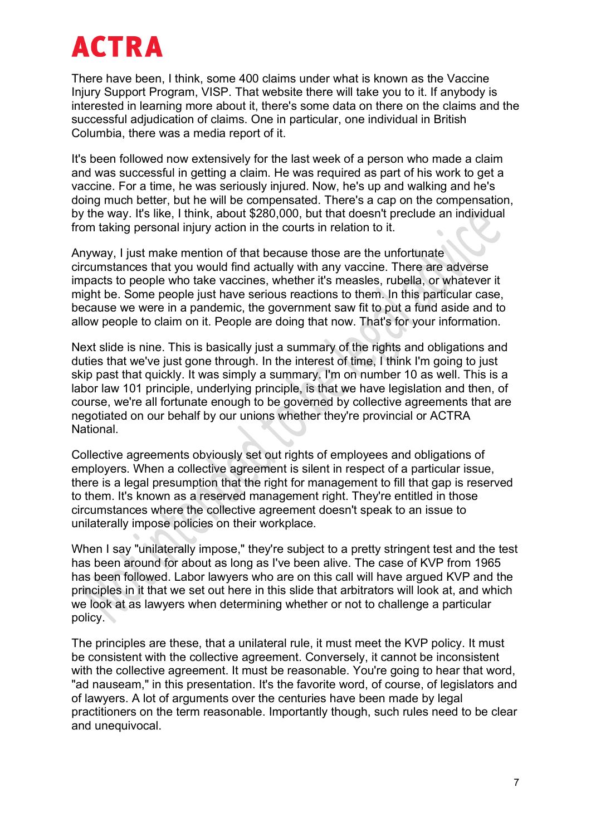There have been, I think, some 400 claims under what is known as the Vaccine Injury Support Program, VISP. That website there will take you to it. If anybody is interested in learning more about it, there's some data on there on the claims and the successful adjudication of claims. One in particular, one individual in British Columbia, there was a media report of it.

It's been followed now extensively for the last week of a person who made a claim and was successful in getting a claim. He was required as part of his work to get a vaccine. For a time, he was seriously injured. Now, he's up and walking and he's doing much better, but he will be compensated. There's a cap on the compensation, by the way. It's like, I think, about \$280,000, but that doesn't preclude an individual from taking personal injury action in the courts in relation to it.

Anyway, I just make mention of that because those are the unfortunate circumstances that you would find actually with any vaccine. There are adverse impacts to people who take vaccines, whether it's measles, rubella, or whatever it might be. Some people just have serious reactions to them. In this particular case, because we were in a pandemic, the government saw fit to put a fund aside and to allow people to claim on it. People are doing that now. That's for your information.

Next slide is nine. This is basically just a summary of the rights and obligations and duties that we've just gone through. In the interest of time, I think I'm going to just skip past that quickly. It was simply a summary. I'm on number 10 as well. This is a labor law 101 principle, underlying principle, is that we have legislation and then, of course, we're all fortunate enough to be governed by collective agreements that are negotiated on our behalf by our unions whether they're provincial or ACTRA National.

Collective agreements obviously set out rights of employees and obligations of employers. When a collective agreement is silent in respect of a particular issue, there is a legal presumption that the right for management to fill that gap is reserved to them. It's known as a reserved management right. They're entitled in those circumstances where the collective agreement doesn't speak to an issue to unilaterally impose policies on their workplace.

When I say "unilaterally impose," they're subiect to a pretty stringent test and the test has been around for about as long as I've been alive. The case of KVP from 1965 has been followed. Labor lawyers who are on this call will have argued KVP and the principles in it that we set out here in this slide that arbitrators will look at, and which we look at as lawyers when determining whether or not to challenge a particular policy.

The principles are these, that a unilateral rule, it must meet the KVP policy. It must be consistent with the collective agreement. Conversely, it cannot be inconsistent with the collective agreement. It must be reasonable. You're going to hear that word, "ad nauseam," in this presentation. It's the favorite word, of course, of legislators and of lawyers. A lot of arguments over the centuries have been made by legal practitioners on the term reasonable. Importantly though, such rules need to be clear and unequivocal.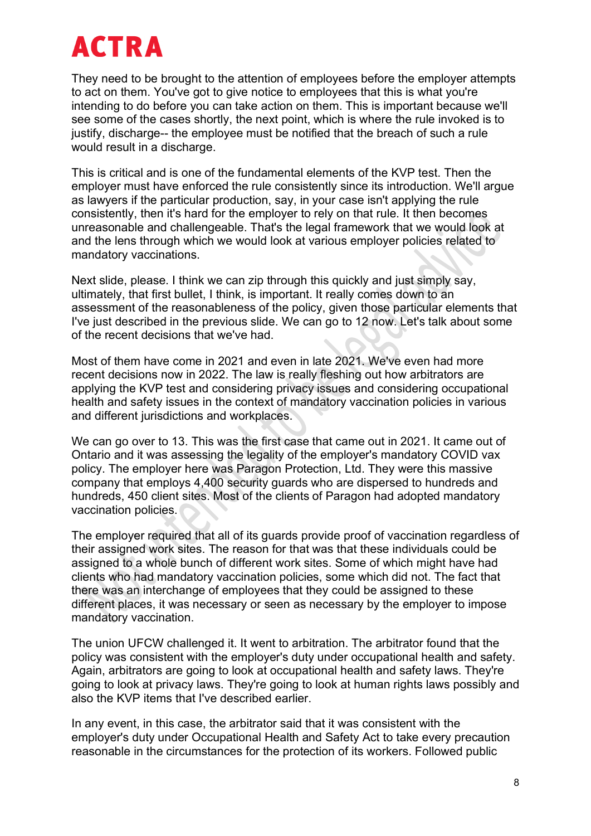They need to be brought to the attention of employees before the employer attempts to act on them. You've got to give notice to employees that this is what you're intending to do before you can take action on them. This is important because we'll see some of the cases shortly, the next point, which is where the rule invoked is to justify, discharge-- the employee must be notified that the breach of such a rule would result in a discharge.

This is critical and is one of the fundamental elements of the KVP test. Then the employer must have enforced the rule consistently since its introduction. We'll argue as lawyers if the particular production, say, in your case isn't applying the rule consistently, then it's hard for the employer to rely on that rule. It then becomes unreasonable and challengeable. That's the legal framework that we would look at and the lens through which we would look at various employer policies related to mandatory vaccinations.

Next slide, please. I think we can zip through this quickly and just simply say, ultimately, that first bullet, I think, is important. It really comes down to an assessment of the reasonableness of the policy, given those particular elements that I've just described in the previous slide. We can go to 12 now. Let's talk about some of the recent decisions that we've had.

Most of them have come in 2021 and even in late 2021. We've even had more recent decisions now in 2022. The law is really fleshing out how arbitrators are applying the KVP test and considering privacy issues and considering occupational health and safety issues in the context of mandatory vaccination policies in various and different jurisdictions and workplaces.

We can go over to 13. This was the first case that came out in 2021. It came out of Ontario and it was assessing the legality of the employer's mandatory COVID vax policy. The employer here was Paragon Protection, Ltd. They were this massive company that employs 4,400 security guards who are dispersed to hundreds and hundreds, 450 client sites. Most of the clients of Paragon had adopted mandatory vaccination policies.

The employer required that all of its guards provide proof of vaccination regardless of their assigned work sites. The reason for that was that these individuals could be assigned to a whole bunch of different work sites. Some of which might have had clients who had mandatory vaccination policies, some which did not. The fact that there was an interchange of employees that they could be assigned to these different places, it was necessary or seen as necessary by the employer to impose mandatory vaccination.

The union UFCW challenged it. It went to arbitration. The arbitrator found that the policy was consistent with the employer's duty under occupational health and safety. Again, arbitrators are going to look at occupational health and safety laws. They're going to look at privacy laws. They're going to look at human rights laws possibly and also the KVP items that I've described earlier.

In any event, in this case, the arbitrator said that it was consistent with the employer's duty under Occupational Health and Safety Act to take every precaution reasonable in the circumstances for the protection of its workers. Followed public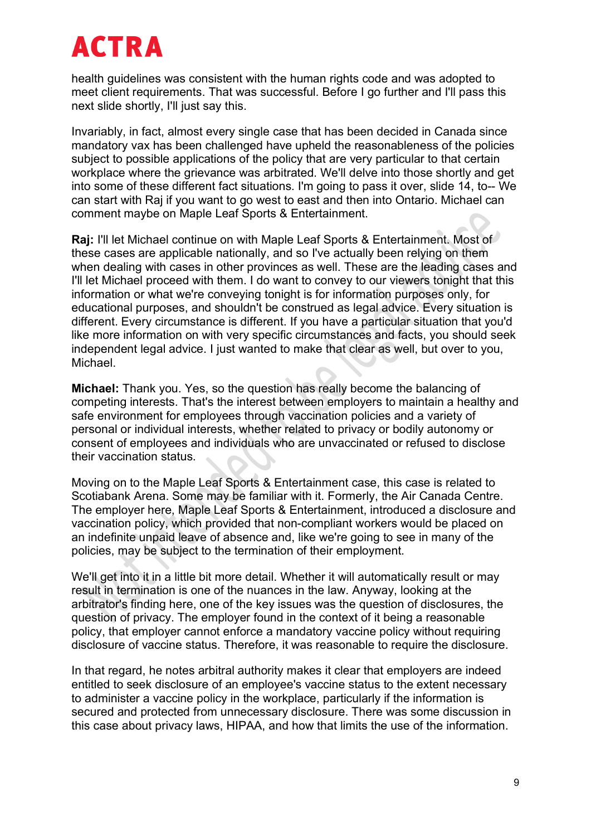health guidelines was consistent with the human rights code and was adopted to meet client requirements. That was successful. Before I go further and I'll pass this next slide shortly, I'll just say this.

Invariably, in fact, almost every single case that has been decided in Canada since mandatory vax has been challenged have upheld the reasonableness of the policies subject to possible applications of the policy that are very particular to that certain workplace where the grievance was arbitrated. We'll delve into those shortly and get into some of these different fact situations. I'm going to pass it over, slide 14, to-- We can start with Raj if you want to go west to east and then into Ontario. Michael can comment maybe on Maple Leaf Sports & Entertainment.

**Raj:** I'll let Michael continue on with Maple Leaf Sports & Entertainment. Most of these cases are applicable nationally, and so I've actually been relying on them when dealing with cases in other provinces as well. These are the leading cases and I'll let Michael proceed with them. I do want to convey to our viewers tonight that this information or what we're conveying tonight is for information purposes only, for educational purposes, and shouldn't be construed as legal advice. Every situation is different. Every circumstance is different. If you have a particular situation that you'd like more information on with very specific circumstances and facts, you should seek independent legal advice. I just wanted to make that clear as well, but over to you, Michael.

**Michael:** Thank you. Yes, so the question has really become the balancing of competing interests. That's the interest between employers to maintain a healthy and safe environment for employees through vaccination policies and a variety of personal or individual interests, whether related to privacy or bodily autonomy or consent of employees and individuals who are unvaccinated or refused to disclose their vaccination status.

Moving on to the Maple Leaf Sports & Entertainment case, this case is related to Scotiabank Arena. Some may be familiar with it. Formerly, the Air Canada Centre. The employer here, Maple Leaf Sports & Entertainment, introduced a disclosure and vaccination policy, which provided that non-compliant workers would be placed on an indefinite unpaid leave of absence and, like we're going to see in many of the policies, may be subject to the termination of their employment.

We'll get into it in a little bit more detail. Whether it will automatically result or may result in termination is one of the nuances in the law. Anyway, looking at the arbitrator's finding here, one of the key issues was the question of disclosures, the question of privacy. The employer found in the context of it being a reasonable policy, that employer cannot enforce a mandatory vaccine policy without requiring disclosure of vaccine status. Therefore, it was reasonable to require the disclosure.

In that regard, he notes arbitral authority makes it clear that employers are indeed entitled to seek disclosure of an employee's vaccine status to the extent necessary to administer a vaccine policy in the workplace, particularly if the information is secured and protected from unnecessary disclosure. There was some discussion in this case about privacy laws, HIPAA, and how that limits the use of the information.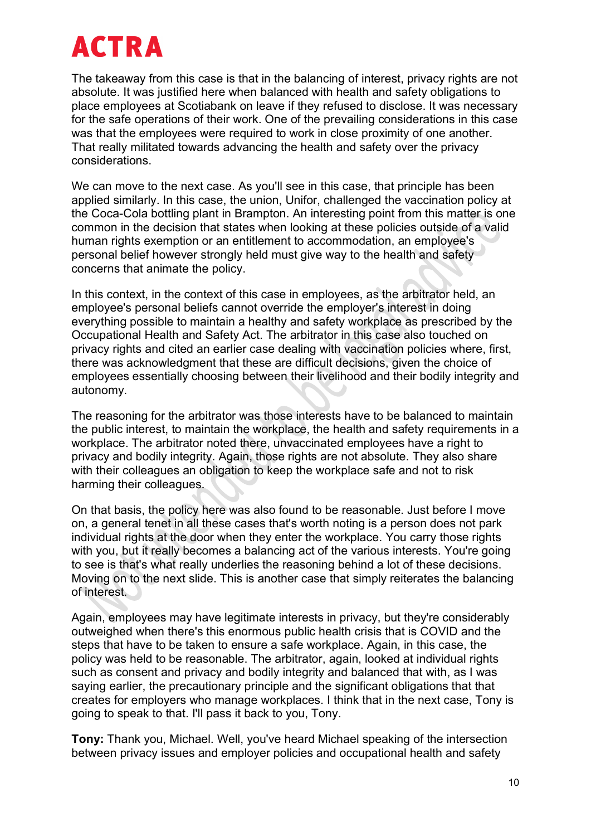The takeaway from this case is that in the balancing of interest, privacy rights are not absolute. It was justified here when balanced with health and safety obligations to place employees at Scotiabank on leave if they refused to disclose. It was necessary for the safe operations of their work. One of the prevailing considerations in this case was that the employees were required to work in close proximity of one another. That really militated towards advancing the health and safety over the privacy considerations.

We can move to the next case. As you'll see in this case, that principle has been applied similarly. In this case, the union, Unifor, challenged the vaccination policy at the Coca-Cola bottling plant in Brampton. An interesting point from this matter is one common in the decision that states when looking at these policies outside of a valid human rights exemption or an entitlement to accommodation, an employee's personal belief however strongly held must give way to the health and safety concerns that animate the policy.

In this context, in the context of this case in employees, as the arbitrator held, an employee's personal beliefs cannot override the employer's interest in doing everything possible to maintain a healthy and safety workplace as prescribed by the Occupational Health and Safety Act. The arbitrator in this case also touched on privacy rights and cited an earlier case dealing with vaccination policies where, first, there was acknowledgment that these are difficult decisions, given the choice of employees essentially choosing between their livelihood and their bodily integrity and autonomy.

The reasoning for the arbitrator was those interests have to be balanced to maintain the public interest, to maintain the workplace, the health and safety requirements in a workplace. The arbitrator noted there, unvaccinated employees have a right to privacy and bodily integrity. Again, those rights are not absolute. They also share with their colleagues an obligation to keep the workplace safe and not to risk harming their colleagues.

On that basis, the policy here was also found to be reasonable. Just before I move on, a general tenet in all these cases that's worth noting is a person does not park individual rights at the door when they enter the workplace. You carry those rights with you, but it really becomes a balancing act of the various interests. You're going to see is that's what really underlies the reasoning behind a lot of these decisions. Moving on to the next slide. This is another case that simply reiterates the balancing of interest.

Again, employees may have legitimate interests in privacy, but they're considerably outweighed when there's this enormous public health crisis that is COVID and the steps that have to be taken to ensure a safe workplace. Again, in this case, the policy was held to be reasonable. The arbitrator, again, looked at individual rights such as consent and privacy and bodily integrity and balanced that with, as I was saying earlier, the precautionary principle and the significant obligations that that creates for employers who manage workplaces. I think that in the next case, Tony is going to speak to that. I'll pass it back to you, Tony.

**Tony:** Thank you, Michael. Well, you've heard Michael speaking of the intersection between privacy issues and employer policies and occupational health and safety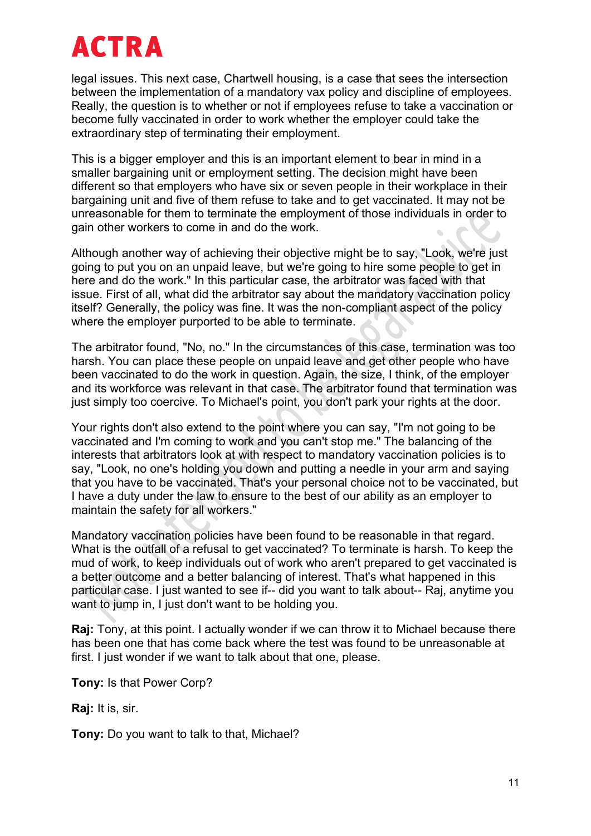legal issues. This next case, Chartwell housing, is a case that sees the intersection between the implementation of a mandatory vax policy and discipline of employees. Really, the question is to whether or not if employees refuse to take a vaccination or become fully vaccinated in order to work whether the employer could take the extraordinary step of terminating their employment.

This is a bigger employer and this is an important element to bear in mind in a smaller bargaining unit or employment setting. The decision might have been different so that employers who have six or seven people in their workplace in their bargaining unit and five of them refuse to take and to get vaccinated. It may not be unreasonable for them to terminate the employment of those individuals in order to gain other workers to come in and do the work.

Although another way of achieving their objective might be to say, "Look, we're just going to put you on an unpaid leave, but we're going to hire some people to get in here and do the work." In this particular case, the arbitrator was faced with that issue. First of all, what did the arbitrator say about the mandatory vaccination policy itself? Generally, the policy was fine. It was the non-compliant aspect of the policy where the employer purported to be able to terminate.

The arbitrator found, "No, no." In the circumstances of this case, termination was too harsh. You can place these people on unpaid leave and get other people who have been vaccinated to do the work in question. Again, the size, I think, of the employer and its workforce was relevant in that case. The arbitrator found that termination was just simply too coercive. To Michael's point, you don't park your rights at the door.

Your rights don't also extend to the point where you can say, "I'm not going to be vaccinated and I'm coming to work and you can't stop me." The balancing of the interests that arbitrators look at with respect to mandatory vaccination policies is to say, "Look, no one's holding you down and putting a needle in your arm and saying that you have to be vaccinated. That's your personal choice not to be vaccinated, but I have a duty under the law to ensure to the best of our ability as an employer to maintain the safety for all workers."

Mandatory vaccination policies have been found to be reasonable in that regard. What is the outfall of a refusal to get vaccinated? To terminate is harsh. To keep the mud of work, to keep individuals out of work who aren't prepared to get vaccinated is a better outcome and a better balancing of interest. That's what happened in this particular case. I just wanted to see if-- did you want to talk about-- Raj, anytime you want to jump in. I just don't want to be holding you.

**Raj:** Tony, at this point. I actually wonder if we can throw it to Michael because there has been one that has come back where the test was found to be unreasonable at first. I just wonder if we want to talk about that one, please.

**Tony:** Is that Power Corp?

**Raj:** It is, sir.

**Tony:** Do you want to talk to that, Michael?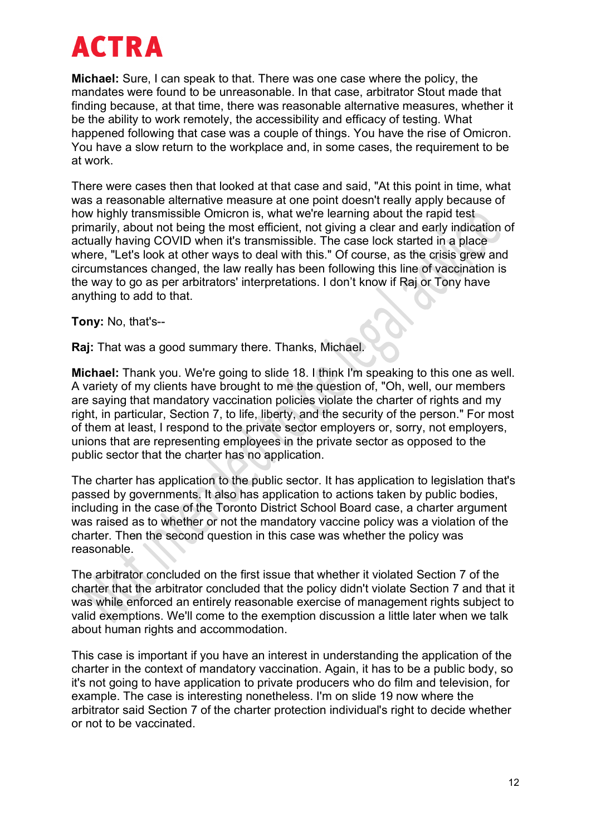**Michael:** Sure, I can speak to that. There was one case where the policy, the mandates were found to be unreasonable. In that case, arbitrator Stout made that finding because, at that time, there was reasonable alternative measures, whether it be the ability to work remotely, the accessibility and efficacy of testing. What happened following that case was a couple of things. You have the rise of Omicron. You have a slow return to the workplace and, in some cases, the requirement to be at work.

There were cases then that looked at that case and said, "At this point in time, what was a reasonable alternative measure at one point doesn't really apply because of how highly transmissible Omicron is, what we're learning about the rapid test primarily, about not being the most efficient, not giving a clear and early indication of actually having COVID when it's transmissible. The case lock started in a place where, "Let's look at other ways to deal with this." Of course, as the crisis grew and circumstances changed, the law really has been following this line of vaccination is the way to go as per arbitrators' interpretations. I don't know if Raj or Tony have anything to add to that.

**Tony:** No, that's--

**Raj:** That was a good summary there. Thanks, Michael.

**Michael:** Thank you. We're going to slide 18. I think I'm speaking to this one as well. A variety of my clients have brought to me the question of, "Oh, well, our members are saying that mandatory vaccination policies violate the charter of rights and my right, in particular, Section 7, to life, liberty, and the security of the person." For most of them at least, I respond to the private sector employers or, sorry, not employers, unions that are representing employees in the private sector as opposed to the public sector that the charter has no application.

The charter has application to the public sector. It has application to legislation that's passed by governments. It also has application to actions taken by public bodies, including in the case of the Toronto District School Board case, a charter argument was raised as to whether or not the mandatory vaccine policy was a violation of the charter. Then the second question in this case was whether the policy was reasonable.

The arbitrator concluded on the first issue that whether it violated Section 7 of the charter that the arbitrator concluded that the policy didn't violate Section 7 and that it was while enforced an entirely reasonable exercise of management rights subject to valid exemptions. We'll come to the exemption discussion a little later when we talk about human rights and accommodation.

This case is important if you have an interest in understanding the application of the charter in the context of mandatory vaccination. Again, it has to be a public body, so it's not going to have application to private producers who do film and television, for example. The case is interesting nonetheless. I'm on slide 19 now where the arbitrator said Section 7 of the charter protection individual's right to decide whether or not to be vaccinated.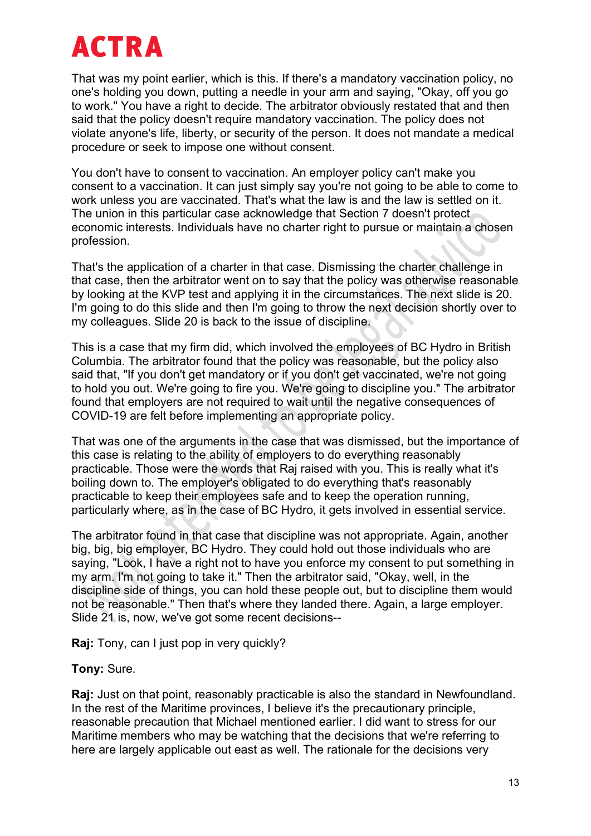That was my point earlier, which is this. If there's a mandatory vaccination policy, no one's holding you down, putting a needle in your arm and saying, "Okay, off you go to work." You have a right to decide. The arbitrator obviously restated that and then said that the policy doesn't require mandatory vaccination. The policy does not violate anyone's life, liberty, or security of the person. It does not mandate a medical procedure or seek to impose one without consent.

You don't have to consent to vaccination. An employer policy can't make you consent to a vaccination. It can just simply say you're not going to be able to come to work unless you are vaccinated. That's what the law is and the law is settled on it. The union in this particular case acknowledge that Section 7 doesn't protect economic interests. Individuals have no charter right to pursue or maintain a chosen profession.

That's the application of a charter in that case. Dismissing the charter challenge in that case, then the arbitrator went on to say that the policy was otherwise reasonable by looking at the KVP test and applying it in the circumstances. The next slide is 20. I'm going to do this slide and then I'm going to throw the next decision shortly over to my colleagues. Slide 20 is back to the issue of discipline.

This is a case that my firm did, which involved the employees of BC Hydro in British Columbia. The arbitrator found that the policy was reasonable, but the policy also said that, "If you don't get mandatory or if you don't get vaccinated, we're not going to hold you out. We're going to fire you. We're going to discipline you." The arbitrator found that employers are not required to wait until the negative consequences of COVID-19 are felt before implementing an appropriate policy.

That was one of the arguments in the case that was dismissed, but the importance of this case is relating to the ability of employers to do everything reasonably practicable. Those were the words that Raj raised with you. This is really what it's boiling down to. The employer's obligated to do everything that's reasonably practicable to keep their employees safe and to keep the operation running, particularly where, as in the case of BC Hydro, it gets involved in essential service.

The arbitrator found in that case that discipline was not appropriate. Again, another big, big, big employer, BC Hydro. They could hold out those individuals who are saying, "Look, I have a right not to have you enforce my consent to put something in my arm. I'm not going to take it." Then the arbitrator said, "Okay, well, in the discipline side of things, you can hold these people out, but to discipline them would not be reasonable." Then that's where they landed there. Again, a large employer. Slide 21 is, now, we've got some recent decisions--

**Raj:** Tony, can I just pop in very quickly?

**Tony:** Sure.

**Raj:** Just on that point, reasonably practicable is also the standard in Newfoundland. In the rest of the Maritime provinces, I believe it's the precautionary principle, reasonable precaution that Michael mentioned earlier. I did want to stress for our Maritime members who may be watching that the decisions that we're referring to here are largely applicable out east as well. The rationale for the decisions very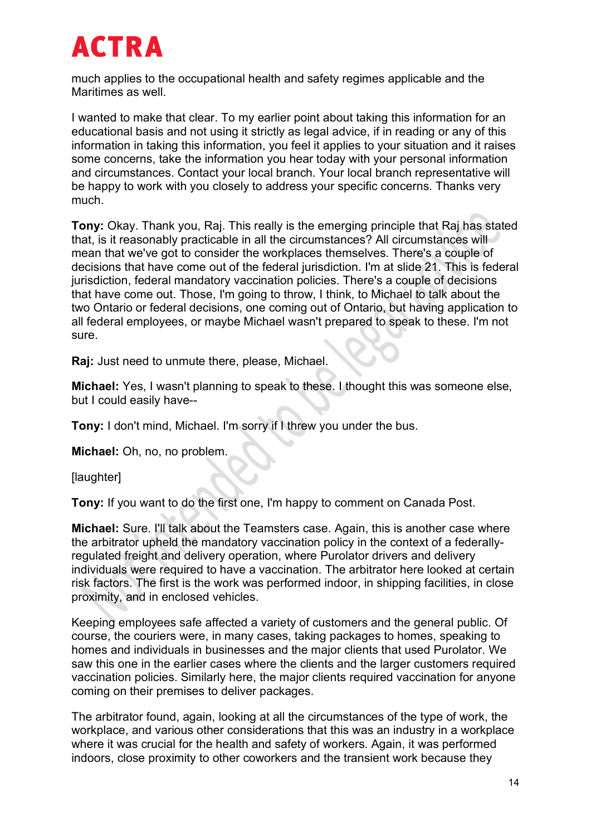much applies to the occupational health and safety regimes applicable and the Maritimes as well.

I wanted to make that clear. To my earlier point about taking this information for an educational basis and not using it strictly as legal advice, if in reading or any of this information in taking this information, you feel it applies to your situation and it raises some concerns, take the information you hear today with your personal information and circumstances. Contact your local branch. Your local branch representative will be happy to work with you closely to address your specific concerns. Thanks very much.

**Tony:** Okay. Thank you, Raj. This really is the emerging principle that Raj has stated that, is it reasonably practicable in all the circumstances? All circumstances will mean that we've got to consider the workplaces themselves. There's a couple of decisions that have come out of the federal jurisdiction. I'm at slide 21. This is federal jurisdiction, federal mandatory vaccination policies. There's a couple of decisions that have come out. Those, I'm going to throw, I think, to Michael to talk about the two Ontario or federal decisions, one coming out of Ontario, but having application to all federal employees, or maybe Michael wasn't prepared to speak to these. I'm not sure.

**Raj:** Just need to unmute there, please, Michael.

**Michael:** Yes, I wasn't planning to speak to these. I thought this was someone else, but I could easily have--

**Tony:** I don't mind, Michael. I'm sorry if I threw you under the bus.

**Michael:** Oh, no, no problem.

[laughter]

**Tony:** If you want to do the first one, I'm happy to comment on Canada Post.

**Michael:** Sure. I'll talk about the Teamsters case. Again, this is another case where the arbitrator upheld the mandatory vaccination policy in the context of a federallyregulated freight and delivery operation, where Purolator drivers and delivery individuals were required to have a vaccination. The arbitrator here looked at certain risk factors. The first is the work was performed indoor, in shipping facilities, in close proximity, and in enclosed vehicles.

Keeping employees safe affected a variety of customers and the general public. Of course, the couriers were, in many cases, taking packages to homes, speaking to homes and individuals in businesses and the major clients that used Purolator. We saw this one in the earlier cases where the clients and the larger customers required vaccination policies. Similarly here, the major clients required vaccination for anyone coming on their premises to deliver packages.

The arbitrator found, again, looking at all the circumstances of the type of work, the workplace, and various other considerations that this was an industry in a workplace where it was crucial for the health and safety of workers. Again, it was performed indoors, close proximity to other coworkers and the transient work because they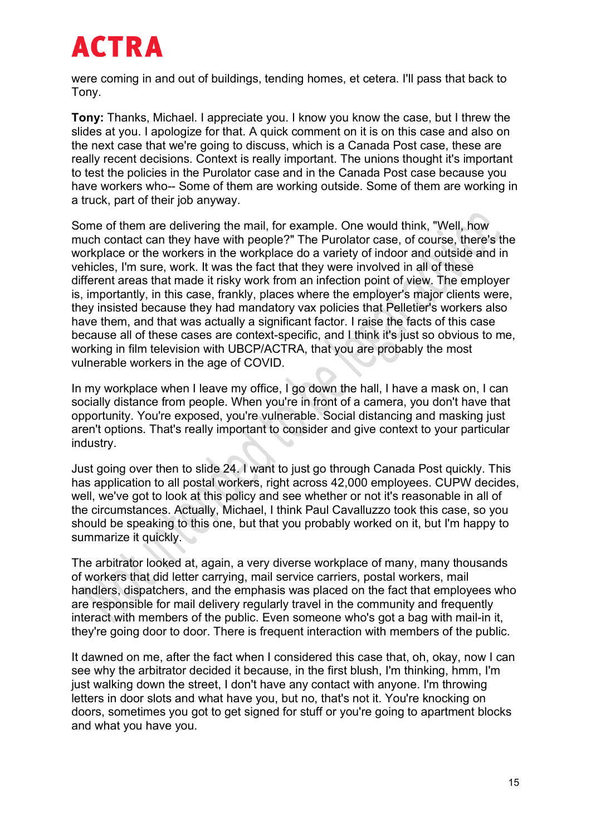were coming in and out of buildings, tending homes, et cetera. I'll pass that back to Tony.

**Tony:** Thanks, Michael. I appreciate you. I know you know the case, but I threw the slides at you. I apologize for that. A quick comment on it is on this case and also on the next case that we're going to discuss, which is a Canada Post case, these are really recent decisions. Context is really important. The unions thought it's important to test the policies in the Purolator case and in the Canada Post case because you have workers who-- Some of them are working outside. Some of them are working in a truck, part of their job anyway.

Some of them are delivering the mail, for example. One would think, "Well, how much contact can they have with people?" The Purolator case, of course, there's the workplace or the workers in the workplace do a variety of indoor and outside and in vehicles, I'm sure, work. It was the fact that they were involved in all of these different areas that made it risky work from an infection point of view. The employer is, importantly, in this case, frankly, places where the employer's major clients were, they insisted because they had mandatory vax policies that Pelletier's workers also have them, and that was actually a significant factor. I raise the facts of this case because all of these cases are context-specific, and I think it's just so obvious to me, working in film television with UBCP/ACTRA, that you are probably the most vulnerable workers in the age of COVID.

In my workplace when I leave my office, I go down the hall, I have a mask on, I can socially distance from people. When you're in front of a camera, you don't have that opportunity. You're exposed, you're vulnerable. Social distancing and masking just aren't options. That's really important to consider and give context to your particular industry.

Just going over then to slide 24. I want to just go through Canada Post quickly. This has application to all postal workers, right across 42,000 employees. CUPW decides, well, we've got to look at this policy and see whether or not it's reasonable in all of the circumstances. Actually, Michael, I think Paul Cavalluzzo took this case, so you should be speaking to this one, but that you probably worked on it, but I'm happy to summarize it quickly.

The arbitrator looked at, again, a very diverse workplace of many, many thousands of workers that did letter carrying, mail service carriers, postal workers, mail handlers, dispatchers, and the emphasis was placed on the fact that employees who are responsible for mail delivery regularly travel in the community and frequently interact with members of the public. Even someone who's got a bag with mail-in it, they're going door to door. There is frequent interaction with members of the public.

It dawned on me, after the fact when I considered this case that, oh, okay, now I can see why the arbitrator decided it because, in the first blush, I'm thinking, hmm, I'm just walking down the street, I don't have any contact with anyone. I'm throwing letters in door slots and what have you, but no, that's not it. You're knocking on doors, sometimes you got to get signed for stuff or you're going to apartment blocks and what you have you.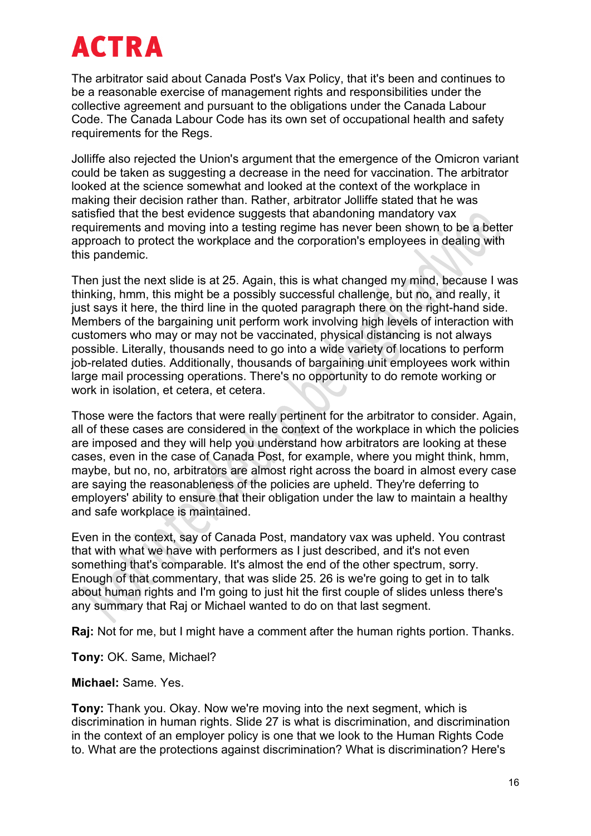The arbitrator said about Canada Post's Vax Policy, that it's been and continues to be a reasonable exercise of management rights and responsibilities under the collective agreement and pursuant to the obligations under the Canada Labour Code. The Canada Labour Code has its own set of occupational health and safety requirements for the Regs.

Jolliffe also rejected the Union's argument that the emergence of the Omicron variant could be taken as suggesting a decrease in the need for vaccination. The arbitrator looked at the science somewhat and looked at the context of the workplace in making their decision rather than. Rather, arbitrator Jolliffe stated that he was satisfied that the best evidence suggests that abandoning mandatory vax requirements and moving into a testing regime has never been shown to be a better approach to protect the workplace and the corporation's employees in dealing with this pandemic.

Then just the next slide is at 25. Again, this is what changed my mind, because I was thinking, hmm, this might be a possibly successful challenge, but no, and really, it just says it here, the third line in the quoted paragraph there on the right-hand side. Members of the bargaining unit perform work involving high levels of interaction with customers who may or may not be vaccinated, physical distancing is not always possible. Literally, thousands need to go into a wide variety of locations to perform job-related duties. Additionally, thousands of bargaining unit employees work within large mail processing operations. There's no opportunity to do remote working or work in isolation, et cetera, et cetera.

Those were the factors that were really pertinent for the arbitrator to consider. Again. all of these cases are considered in the context of the workplace in which the policies are imposed and they will help you understand how arbitrators are looking at these cases, even in the case of Canada Post, for example, where you might think, hmm, maybe, but no, no, arbitrators are almost right across the board in almost every case are saying the reasonableness of the policies are upheld. They're deferring to employers' ability to ensure that their obligation under the law to maintain a healthy and safe workplace is maintained.

Even in the context, say of Canada Post, mandatory vax was upheld. You contrast that with what we have with performers as I just described, and it's not even something that's comparable. It's almost the end of the other spectrum, sorry. Enough of that commentary, that was slide 25. 26 is we're going to get in to talk about human rights and I'm going to just hit the first couple of slides unless there's any summary that Raj or Michael wanted to do on that last segment.

**Raj:** Not for me, but I might have a comment after the human rights portion. Thanks.

**Tony:** OK. Same, Michael?

**Michael:** Same. Yes.

**Tony:** Thank you. Okay. Now we're moving into the next segment, which is discrimination in human rights. Slide 27 is what is discrimination, and discrimination in the context of an employer policy is one that we look to the Human Rights Code to. What are the protections against discrimination? What is discrimination? Here's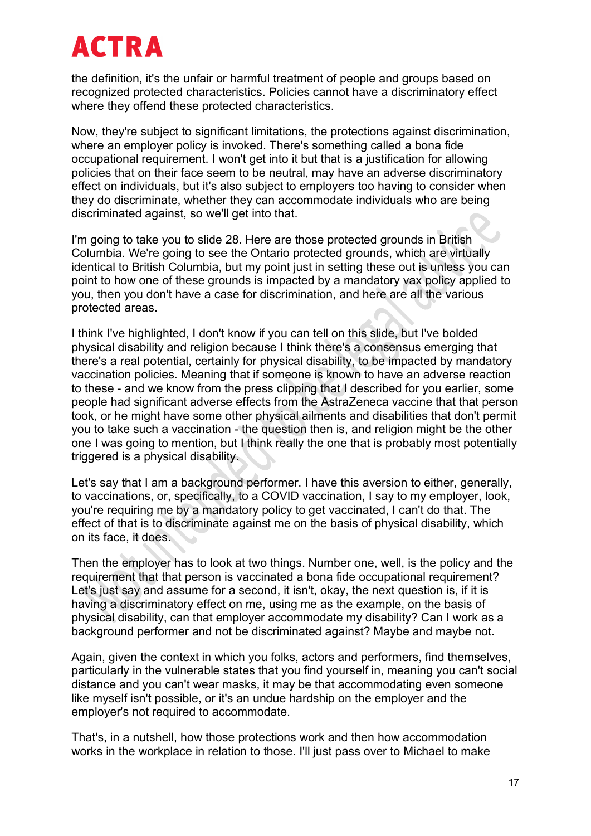the definition, it's the unfair or harmful treatment of people and groups based on recognized protected characteristics. Policies cannot have a discriminatory effect where they offend these protected characteristics.

Now, they're subject to significant limitations, the protections against discrimination, where an employer policy is invoked. There's something called a bona fide occupational requirement. I won't get into it but that is a justification for allowing policies that on their face seem to be neutral, may have an adverse discriminatory effect on individuals, but it's also subject to employers too having to consider when they do discriminate, whether they can accommodate individuals who are being discriminated against, so we'll get into that.

I'm going to take you to slide 28. Here are those protected grounds in British Columbia. We're going to see the Ontario protected grounds, which are virtually identical to British Columbia, but my point just in setting these out is unless you can point to how one of these grounds is impacted by a mandatory vax policy applied to you, then you don't have a case for discrimination, and here are all the various protected areas.

I think I've highlighted, I don't know if you can tell on this slide, but I've bolded physical disability and religion because I think there's a consensus emerging that there's a real potential, certainly for physical disability, to be impacted by mandatory vaccination policies. Meaning that if someone is known to have an adverse reaction to these - and we know from the press clipping that I described for you earlier, some people had significant adverse effects from the AstraZeneca vaccine that that person took, or he might have some other physical ailments and disabilities that don't permit you to take such a vaccination - the question then is, and religion might be the other one I was going to mention, but I think really the one that is probably most potentially triggered is a physical disability.

Let's say that I am a background performer. I have this aversion to either, generally, to vaccinations, or, specifically, to a COVID vaccination, I say to my employer, look, you're requiring me by a mandatory policy to get vaccinated, I can't do that. The effect of that is to discriminate against me on the basis of physical disability, which on its face, it does.

Then the employer has to look at two things. Number one, well, is the policy and the requirement that that person is vaccinated a bona fide occupational requirement? Let's just say and assume for a second, it isn't, okay, the next question is, if it is having a discriminatory effect on me, using me as the example, on the basis of physical disability, can that employer accommodate my disability? Can I work as a background performer and not be discriminated against? Maybe and maybe not.

Again, given the context in which you folks, actors and performers, find themselves, particularly in the vulnerable states that you find yourself in, meaning you can't social distance and you can't wear masks, it may be that accommodating even someone like myself isn't possible, or it's an undue hardship on the employer and the employer's not required to accommodate.

That's, in a nutshell, how those protections work and then how accommodation works in the workplace in relation to those. I'll just pass over to Michael to make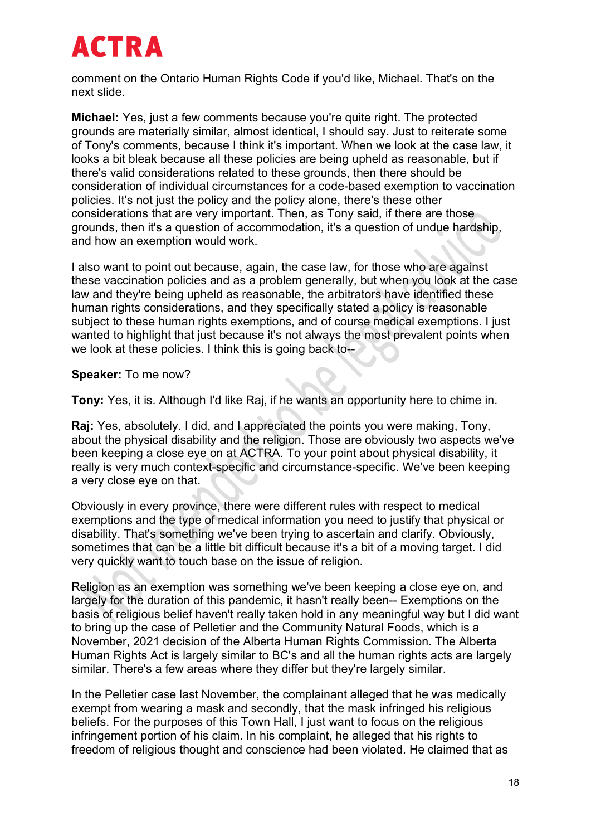comment on the Ontario Human Rights Code if you'd like, Michael. That's on the next slide.

**Michael:** Yes, just a few comments because you're quite right. The protected grounds are materially similar, almost identical, I should say. Just to reiterate some of Tony's comments, because I think it's important. When we look at the case law, it looks a bit bleak because all these policies are being upheld as reasonable, but if there's valid considerations related to these grounds, then there should be consideration of individual circumstances for a code-based exemption to vaccination policies. It's not just the policy and the policy alone, there's these other considerations that are very important. Then, as Tony said, if there are those grounds, then it's a question of accommodation, it's a question of undue hardship, and how an exemption would work.

I also want to point out because, again, the case law, for those who are against these vaccination policies and as a problem generally, but when you look at the case law and they're being upheld as reasonable, the arbitrators have identified these human rights considerations, and they specifically stated a policy is reasonable subject to these human rights exemptions, and of course medical exemptions. I just wanted to highlight that just because it's not always the most prevalent points when we look at these policies. I think this is going back to--

#### **Speaker:** To me now?

**Tony:** Yes, it is. Although I'd like Raj, if he wants an opportunity here to chime in.

**Raj:** Yes, absolutely. I did, and I appreciated the points you were making, Tony, about the physical disability and the religion. Those are obviously two aspects we've been keeping a close eye on at ACTRA. To your point about physical disability, it really is very much context-specific and circumstance-specific. We've been keeping a very close eye on that.

Obviously in every province, there were different rules with respect to medical exemptions and the type of medical information you need to justify that physical or disability. That's something we've been trying to ascertain and clarify. Obviously, sometimes that can be a little bit difficult because it's a bit of a moving target. I did very quickly want to touch base on the issue of religion.

Religion as an exemption was something we've been keeping a close eye on, and largely for the duration of this pandemic, it hasn't really been-- Exemptions on the basis of religious belief haven't really taken hold in any meaningful way but I did want to bring up the case of Pelletier and the Community Natural Foods, which is a November, 2021 decision of the Alberta Human Rights Commission. The Alberta Human Rights Act is largely similar to BC's and all the human rights acts are largely similar. There's a few areas where they differ but they're largely similar.

In the Pelletier case last November, the complainant alleged that he was medically exempt from wearing a mask and secondly, that the mask infringed his religious beliefs. For the purposes of this Town Hall, I just want to focus on the religious infringement portion of his claim. In his complaint, he alleged that his rights to freedom of religious thought and conscience had been violated. He claimed that as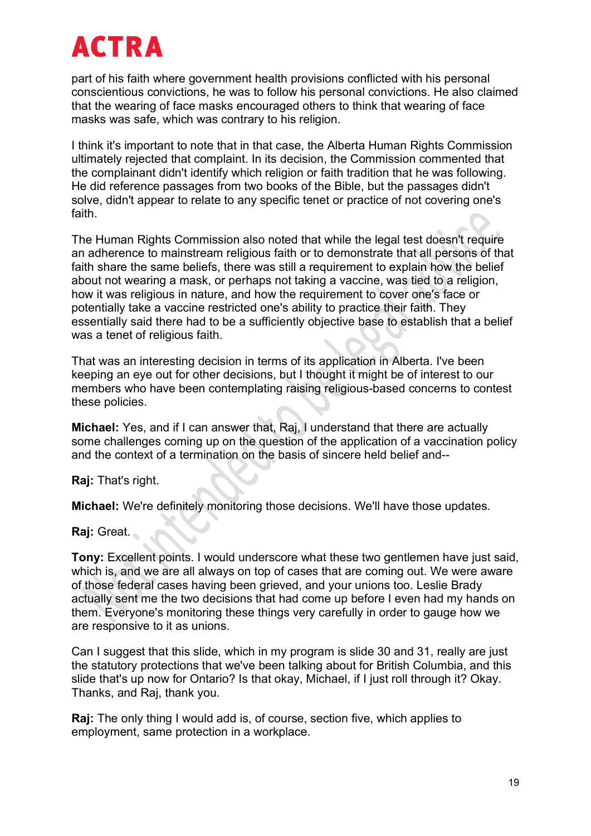part of his faith where government health provisions conflicted with his personal conscientious convictions, he was to follow his personal convictions. He also claimed that the wearing of face masks encouraged others to think that wearing of face masks was safe, which was contrary to his religion.

I think it's important to note that in that case, the Alberta Human Rights Commission ultimately rejected that complaint. In its decision, the Commission commented that the complainant didn't identify which religion or faith tradition that he was following. He did reference passages from two books of the Bible, but the passages didn't solve, didn't appear to relate to any specific tenet or practice of not covering one's faith.

The Human Rights Commission also noted that while the legal test doesn't require an adherence to mainstream religious faith or to demonstrate that all persons of that faith share the same beliefs, there was still a requirement to explain how the belief about not wearing a mask, or perhaps not taking a vaccine, was tied to a religion, how it was religious in nature, and how the requirement to cover one's face or potentially take a vaccine restricted one's ability to practice their faith. They essentially said there had to be a sufficiently objective base to establish that a belief was a tenet of religious faith.

That was an interesting decision in terms of its application in Alberta. I've been keeping an eye out for other decisions, but I thought it might be of interest to our members who have been contemplating raising religious-based concerns to contest these policies.

**Michael:** Yes, and if I can answer that, Raj, I understand that there are actually some challenges coming up on the question of the application of a vaccination policy and the context of a termination on the basis of sincere held belief and--

**Raj:** That's right.

**Michael:** We're definitely monitoring those decisions. We'll have those updates.

**Raj:** Great.

**Tony:** Excellent points. I would underscore what these two gentlemen have just said, which is, and we are all always on top of cases that are coming out. We were aware of those federal cases having been grieved, and your unions too. Leslie Brady actually sent me the two decisions that had come up before I even had my hands on them. Everyone's monitoring these things very carefully in order to gauge how we are responsive to it as unions.

Can I suggest that this slide, which in my program is slide 30 and 31, really are just the statutory protections that we've been talking about for British Columbia, and this slide that's up now for Ontario? Is that okay, Michael, if I just roll through it? Okay. Thanks, and Raj, thank you.

**Raj:** The only thing I would add is, of course, section five, which applies to employment, same protection in a workplace.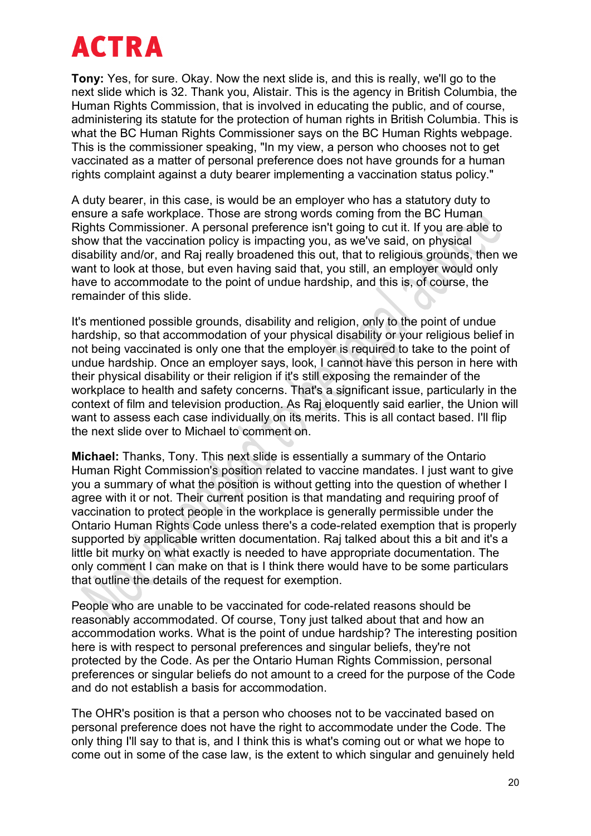**Tony:** Yes, for sure. Okay. Now the next slide is, and this is really, we'll go to the next slide which is 32. Thank you, Alistair. This is the agency in British Columbia, the Human Rights Commission, that is involved in educating the public, and of course, administering its statute for the protection of human rights in British Columbia. This is what the BC Human Rights Commissioner says on the BC Human Rights webpage. This is the commissioner speaking, "In my view, a person who chooses not to get vaccinated as a matter of personal preference does not have grounds for a human rights complaint against a duty bearer implementing a vaccination status policy."

A duty bearer, in this case, is would be an employer who has a statutory duty to ensure a safe workplace. Those are strong words coming from the BC Human Rights Commissioner. A personal preference isn't going to cut it. If you are able to show that the vaccination policy is impacting you, as we've said, on physical disability and/or, and Raj really broadened this out, that to religious grounds, then we want to look at those, but even having said that, you still, an employer would only have to accommodate to the point of undue hardship, and this is, of course, the remainder of this slide.

It's mentioned possible grounds, disability and religion, only to the point of undue hardship, so that accommodation of your physical disability or your religious belief in not being vaccinated is only one that the employer is required to take to the point of undue hardship. Once an employer says, look, I cannot have this person in here with their physical disability or their religion if it's still exposing the remainder of the workplace to health and safety concerns. That's a significant issue, particularly in the context of film and television production. As Raj eloquently said earlier, the Union will want to assess each case individually on its merits. This is all contact based. I'll flip the next slide over to Michael to comment on.

**Michael:** Thanks, Tony. This next slide is essentially a summary of the Ontario Human Right Commission's position related to vaccine mandates. I just want to give you a summary of what the position is without getting into the question of whether I agree with it or not. Their current position is that mandating and requiring proof of vaccination to protect people in the workplace is generally permissible under the Ontario Human Rights Code unless there's a code-related exemption that is properly supported by applicable written documentation. Raj talked about this a bit and it's a little bit murky on what exactly is needed to have appropriate documentation. The only comment I can make on that is I think there would have to be some particulars that outline the details of the request for exemption.

People who are unable to be vaccinated for code-related reasons should be reasonably accommodated. Of course, Tony just talked about that and how an accommodation works. What is the point of undue hardship? The interesting position here is with respect to personal preferences and singular beliefs, they're not protected by the Code. As per the Ontario Human Rights Commission, personal preferences or singular beliefs do not amount to a creed for the purpose of the Code and do not establish a basis for accommodation.

The OHR's position is that a person who chooses not to be vaccinated based on personal preference does not have the right to accommodate under the Code. The only thing I'll say to that is, and I think this is what's coming out or what we hope to come out in some of the case law, is the extent to which singular and genuinely held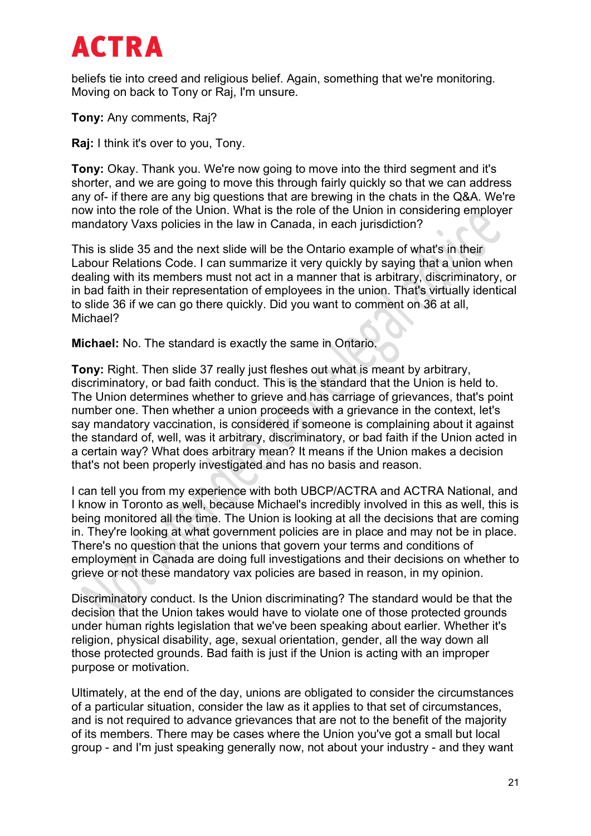beliefs tie into creed and religious belief. Again, something that we're monitoring. Moving on back to Tony or Raj, I'm unsure.

**Tony:** Any comments, Raj?

**Raj:** I think it's over to you, Tony.

**Tony:** Okay. Thank you. We're now going to move into the third segment and it's shorter, and we are going to move this through fairly quickly so that we can address any of- if there are any big questions that are brewing in the chats in the Q&A. We're now into the role of the Union. What is the role of the Union in considering employer mandatory Vaxs policies in the law in Canada, in each jurisdiction?

This is slide 35 and the next slide will be the Ontario example of what's in their Labour Relations Code. I can summarize it very quickly by saying that a union when dealing with its members must not act in a manner that is arbitrary, discriminatory, or in bad faith in their representation of employees in the union. That's virtually identical to slide 36 if we can go there quickly. Did you want to comment on 36 at all, Michael?

**Michael:** No. The standard is exactly the same in Ontario.

**Tony:** Right. Then slide 37 really just fleshes out what is meant by arbitrary, discriminatory, or bad faith conduct. This is the standard that the Union is held to. The Union determines whether to grieve and has carriage of grievances, that's point number one. Then whether a union proceeds with a grievance in the context, let's say mandatory vaccination, is considered if someone is complaining about it against the standard of, well, was it arbitrary, discriminatory, or bad faith if the Union acted in a certain way? What does arbitrary mean? It means if the Union makes a decision that's not been properly investigated and has no basis and reason.

I can tell you from my experience with both UBCP/ACTRA and ACTRA National, and I know in Toronto as well, because Michael's incredibly involved in this as well, this is being monitored all the time. The Union is looking at all the decisions that are coming in. They're looking at what government policies are in place and may not be in place. There's no question that the unions that govern your terms and conditions of employment in Canada are doing full investigations and their decisions on whether to grieve or not these mandatory vax policies are based in reason, in my opinion.

Discriminatory conduct. Is the Union discriminating? The standard would be that the decision that the Union takes would have to violate one of those protected grounds under human rights legislation that we've been speaking about earlier. Whether it's religion, physical disability, age, sexual orientation, gender, all the way down all those protected grounds. Bad faith is just if the Union is acting with an improper purpose or motivation.

Ultimately, at the end of the day, unions are obligated to consider the circumstances of a particular situation, consider the law as it applies to that set of circumstances, and is not required to advance grievances that are not to the benefit of the majority of its members. There may be cases where the Union you've got a small but local group - and I'm just speaking generally now, not about your industry - and they want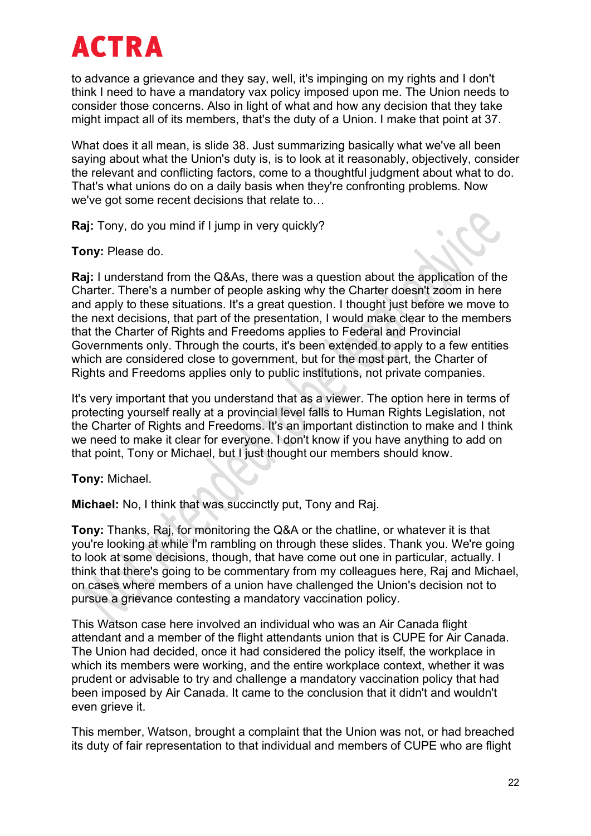to advance a grievance and they say, well, it's impinging on my rights and I don't think I need to have a mandatory vax policy imposed upon me. The Union needs to consider those concerns. Also in light of what and how any decision that they take might impact all of its members, that's the duty of a Union. I make that point at 37.

What does it all mean, is slide 38. Just summarizing basically what we've all been saying about what the Union's duty is, is to look at it reasonably, objectively, consider the relevant and conflicting factors, come to a thoughtful judgment about what to do. That's what unions do on a daily basis when they're confronting problems. Now we've got some recent decisions that relate to…

**Raj:** Tony, do you mind if I jump in very quickly?

**Tony:** Please do.

**Raj:** I understand from the Q&As, there was a question about the application of the Charter. There's a number of people asking why the Charter doesn't zoom in here and apply to these situations. It's a great question. I thought just before we move to the next decisions, that part of the presentation, I would make clear to the members that the Charter of Rights and Freedoms applies to Federal and Provincial Governments only. Through the courts, it's been extended to apply to a few entities which are considered close to government, but for the most part, the Charter of Rights and Freedoms applies only to public institutions, not private companies.

It's very important that you understand that as a viewer. The option here in terms of protecting yourself really at a provincial level falls to Human Rights Legislation, not the Charter of Rights and Freedoms. It's an important distinction to make and I think we need to make it clear for everyone. I don't know if you have anything to add on that point, Tony or Michael, but I just thought our members should know.

#### **Tony:** Michael.

**Michael:** No, I think that was succinctly put, Tony and Raj.

**Tony:** Thanks, Raj, for monitoring the Q&A or the chatline, or whatever it is that you're looking at while I'm rambling on through these slides. Thank you. We're going to look at some decisions, though, that have come out one in particular, actually. I think that there's going to be commentary from my colleagues here, Raj and Michael, on cases where members of a union have challenged the Union's decision not to pursue a grievance contesting a mandatory vaccination policy.

This Watson case here involved an individual who was an Air Canada flight attendant and a member of the flight attendants union that is CUPE for Air Canada. The Union had decided, once it had considered the policy itself, the workplace in which its members were working, and the entire workplace context, whether it was prudent or advisable to try and challenge a mandatory vaccination policy that had been imposed by Air Canada. It came to the conclusion that it didn't and wouldn't even grieve it.

This member, Watson, brought a complaint that the Union was not, or had breached its duty of fair representation to that individual and members of CUPE who are flight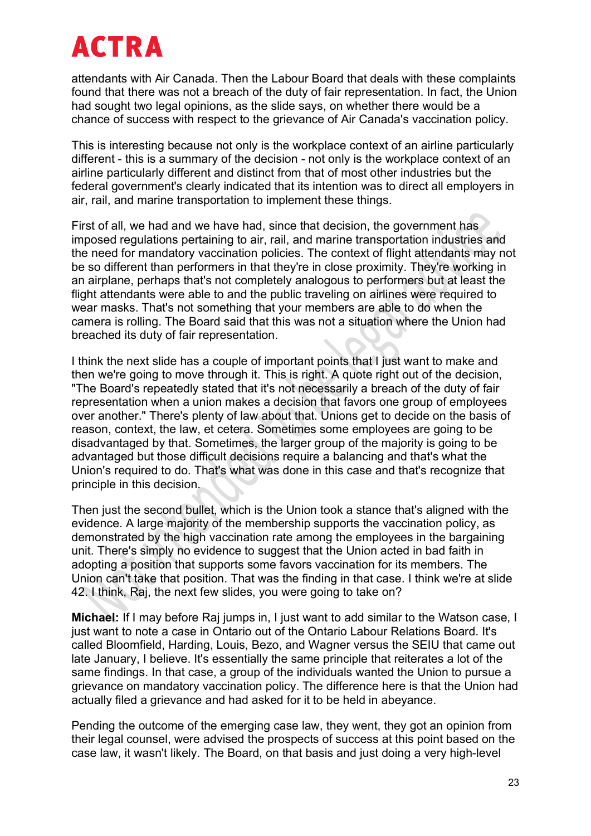attendants with Air Canada. Then the Labour Board that deals with these complaints found that there was not a breach of the duty of fair representation. In fact, the Union had sought two legal opinions, as the slide says, on whether there would be a chance of success with respect to the grievance of Air Canada's vaccination policy.

This is interesting because not only is the workplace context of an airline particularly different - this is a summary of the decision - not only is the workplace context of an airline particularly different and distinct from that of most other industries but the federal government's clearly indicated that its intention was to direct all employers in air, rail, and marine transportation to implement these things.

First of all, we had and we have had, since that decision, the government has imposed regulations pertaining to air, rail, and marine transportation industries and the need for mandatory vaccination policies. The context of flight attendants may not be so different than performers in that they're in close proximity. They're working in an airplane, perhaps that's not completely analogous to performers but at least the flight attendants were able to and the public traveling on airlines were required to wear masks. That's not something that your members are able to do when the camera is rolling. The Board said that this was not a situation where the Union had breached its duty of fair representation.

I think the next slide has a couple of important points that I just want to make and then we're going to move through it. This is right. A quote right out of the decision, "The Board's repeatedly stated that it's not necessarily a breach of the duty of fair representation when a union makes a decision that favors one group of employees over another." There's plenty of law about that. Unions get to decide on the basis of reason, context, the law, et cetera. Sometimes some employees are going to be disadvantaged by that. Sometimes, the larger group of the majority is going to be advantaged but those difficult decisions require a balancing and that's what the Union's required to do. That's what was done in this case and that's recognize that principle in this decision.

Then just the second bullet, which is the Union took a stance that's aligned with the evidence. A large majority of the membership supports the vaccination policy, as demonstrated by the high vaccination rate among the employees in the bargaining unit. There's simply no evidence to suggest that the Union acted in bad faith in adopting a position that supports some favors vaccination for its members. The Union can't take that position. That was the finding in that case. I think we're at slide 42. I think, Raj, the next few slides, you were going to take on?

**Michael:** If I may before Raj jumps in, I just want to add similar to the Watson case, I just want to note a case in Ontario out of the Ontario Labour Relations Board. It's called Bloomfield, Harding, Louis, Bezo, and Wagner versus the SEIU that came out late January, I believe. It's essentially the same principle that reiterates a lot of the same findings. In that case, a group of the individuals wanted the Union to pursue a grievance on mandatory vaccination policy. The difference here is that the Union had actually filed a grievance and had asked for it to be held in abeyance.

Pending the outcome of the emerging case law, they went, they got an opinion from their legal counsel, were advised the prospects of success at this point based on the case law, it wasn't likely. The Board, on that basis and just doing a very high-level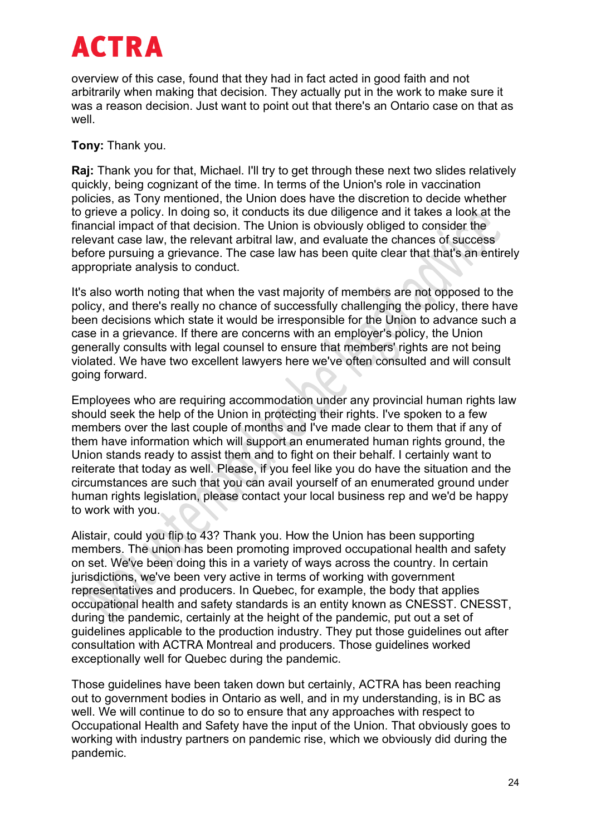overview of this case, found that they had in fact acted in good faith and not arbitrarily when making that decision. They actually put in the work to make sure it was a reason decision. Just want to point out that there's an Ontario case on that as well.

#### **Tony:** Thank you.

**Raj:** Thank you for that, Michael. I'll try to get through these next two slides relatively quickly, being cognizant of the time. In terms of the Union's role in vaccination policies, as Tony mentioned, the Union does have the discretion to decide whether to grieve a policy. In doing so, it conducts its due diligence and it takes a look at the financial impact of that decision. The Union is obviously obliged to consider the relevant case law, the relevant arbitral law, and evaluate the chances of success before pursuing a grievance. The case law has been quite clear that that's an entirely appropriate analysis to conduct.

It's also worth noting that when the vast majority of members are not opposed to the policy, and there's really no chance of successfully challenging the policy, there have been decisions which state it would be irresponsible for the Union to advance such a case in a grievance. If there are concerns with an employer's policy, the Union generally consults with legal counsel to ensure that members' rights are not being violated. We have two excellent lawyers here we've often consulted and will consult going forward.

Employees who are requiring accommodation under any provincial human rights law should seek the help of the Union in protecting their rights. I've spoken to a few members over the last couple of months and I've made clear to them that if any of them have information which will support an enumerated human rights ground, the Union stands ready to assist them and to fight on their behalf. I certainly want to reiterate that today as well. Please, if you feel like you do have the situation and the circumstances are such that you can avail yourself of an enumerated ground under human rights legislation, please contact your local business rep and we'd be happy to work with you.

Alistair, could you flip to 43? Thank you. How the Union has been supporting members. The union has been promoting improved occupational health and safety on set. We've been doing this in a variety of ways across the country. In certain jurisdictions, we've been very active in terms of working with government representatives and producers. In Quebec, for example, the body that applies occupational health and safety standards is an entity known as CNESST. CNESST, during the pandemic, certainly at the height of the pandemic, put out a set of guidelines applicable to the production industry. They put those guidelines out after consultation with ACTRA Montreal and producers. Those guidelines worked exceptionally well for Quebec during the pandemic.

Those guidelines have been taken down but certainly, ACTRA has been reaching out to government bodies in Ontario as well, and in my understanding, is in BC as well. We will continue to do so to ensure that any approaches with respect to Occupational Health and Safety have the input of the Union. That obviously goes to working with industry partners on pandemic rise, which we obviously did during the pandemic.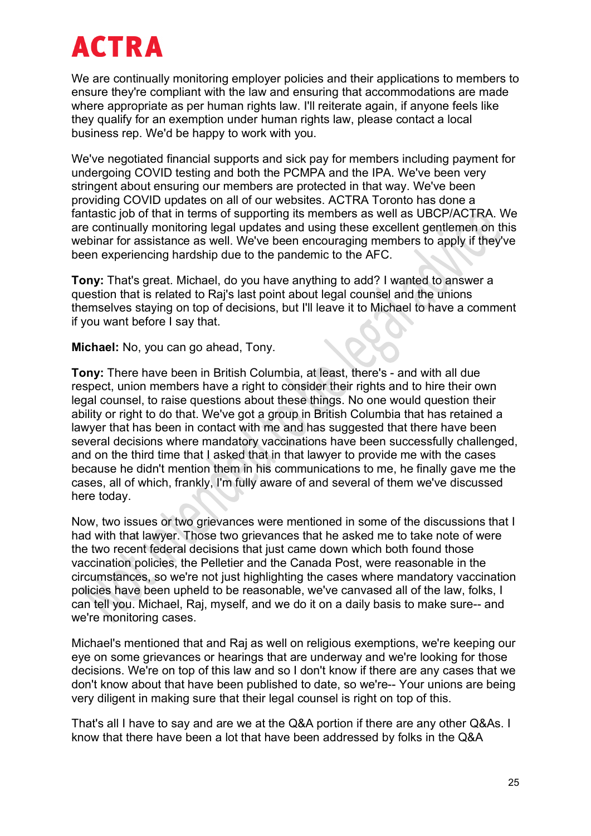We are continually monitoring employer policies and their applications to members to ensure they're compliant with the law and ensuring that accommodations are made where appropriate as per human rights law. I'll reiterate again, if anyone feels like they qualify for an exemption under human rights law, please contact a local business rep. We'd be happy to work with you.

We've negotiated financial supports and sick pay for members including payment for undergoing COVID testing and both the PCMPA and the IPA. We've been very stringent about ensuring our members are protected in that way. We've been providing COVID updates on all of our websites. ACTRA Toronto has done a fantastic job of that in terms of supporting its members as well as UBCP/ACTRA. We are continually monitoring legal updates and using these excellent gentlemen on this webinar for assistance as well. We've been encouraging members to apply if they've been experiencing hardship due to the pandemic to the AFC.

**Tony:** That's great. Michael, do you have anything to add? I wanted to answer a question that is related to Raj's last point about legal counsel and the unions themselves staying on top of decisions, but I'll leave it to Michael to have a comment if you want before I say that.

**Michael:** No, you can go ahead, Tony.

**Tony:** There have been in British Columbia, at least, there's - and with all due respect, union members have a right to consider their rights and to hire their own legal counsel, to raise questions about these things. No one would question their ability or right to do that. We've got a group in British Columbia that has retained a lawyer that has been in contact with me and has suggested that there have been several decisions where mandatory vaccinations have been successfully challenged, and on the third time that I asked that in that lawyer to provide me with the cases because he didn't mention them in his communications to me, he finally gave me the cases, all of which, frankly, I'm fully aware of and several of them we've discussed here today.

Now, two issues or two grievances were mentioned in some of the discussions that I had with that lawyer. Those two grievances that he asked me to take note of were the two recent federal decisions that just came down which both found those vaccination policies, the Pelletier and the Canada Post, were reasonable in the circumstances, so we're not just highlighting the cases where mandatory vaccination policies have been upheld to be reasonable, we've canvased all of the law, folks, I can tell you. Michael, Raj, myself, and we do it on a daily basis to make sure-- and we're monitoring cases.

Michael's mentioned that and Raj as well on religious exemptions, we're keeping our eye on some grievances or hearings that are underway and we're looking for those decisions. We're on top of this law and so I don't know if there are any cases that we don't know about that have been published to date, so we're-- Your unions are being very diligent in making sure that their legal counsel is right on top of this.

That's all I have to say and are we at the Q&A portion if there are any other Q&As. I know that there have been a lot that have been addressed by folks in the Q&A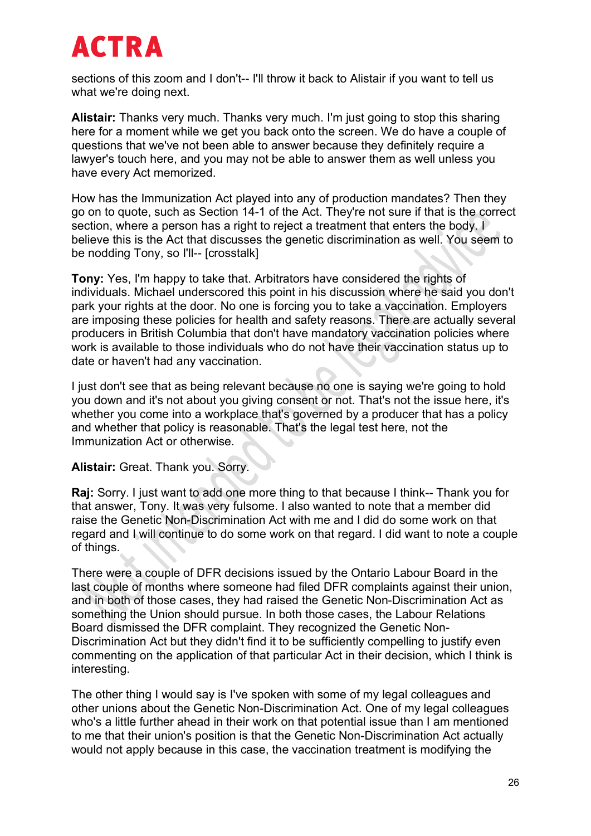sections of this zoom and I don't-- I'll throw it back to Alistair if you want to tell us what we're doing next.

**Alistair:** Thanks very much. Thanks very much. I'm just going to stop this sharing here for a moment while we get you back onto the screen. We do have a couple of questions that we've not been able to answer because they definitely require a lawyer's touch here, and you may not be able to answer them as well unless you have every Act memorized.

How has the Immunization Act played into any of production mandates? Then they go on to quote, such as Section 14-1 of the Act. They're not sure if that is the correct section, where a person has a right to reject a treatment that enters the body. I believe this is the Act that discusses the genetic discrimination as well. You seem to be nodding Tony, so I'll-- [crosstalk]

**Tony:** Yes, I'm happy to take that. Arbitrators have considered the rights of individuals. Michael underscored this point in his discussion where he said you don't park your rights at the door. No one is forcing you to take a vaccination. Employers are imposing these policies for health and safety reasons. There are actually several producers in British Columbia that don't have mandatory vaccination policies where work is available to those individuals who do not have their vaccination status up to date or haven't had any vaccination.

I just don't see that as being relevant because no one is saying we're going to hold you down and it's not about you giving consent or not. That's not the issue here, it's whether you come into a workplace that's governed by a producer that has a policy and whether that policy is reasonable. That's the legal test here, not the Immunization Act or otherwise.

#### **Alistair:** Great. Thank you. Sorry.

**Raj:** Sorry. I just want to add one more thing to that because I think-- Thank you for that answer, Tony. It was very fulsome. I also wanted to note that a member did raise the Genetic Non-Discrimination Act with me and I did do some work on that regard and I will continue to do some work on that regard. I did want to note a couple of things.

There were a couple of DFR decisions issued by the Ontario Labour Board in the last couple of months where someone had filed DFR complaints against their union, and in both of those cases, they had raised the Genetic Non-Discrimination Act as something the Union should pursue. In both those cases, the Labour Relations Board dismissed the DFR complaint. They recognized the Genetic Non-Discrimination Act but they didn't find it to be sufficiently compelling to justify even commenting on the application of that particular Act in their decision, which I think is interesting.

The other thing I would say is I've spoken with some of my legal colleagues and other unions about the Genetic Non-Discrimination Act. One of my legal colleagues who's a little further ahead in their work on that potential issue than I am mentioned to me that their union's position is that the Genetic Non-Discrimination Act actually would not apply because in this case, the vaccination treatment is modifying the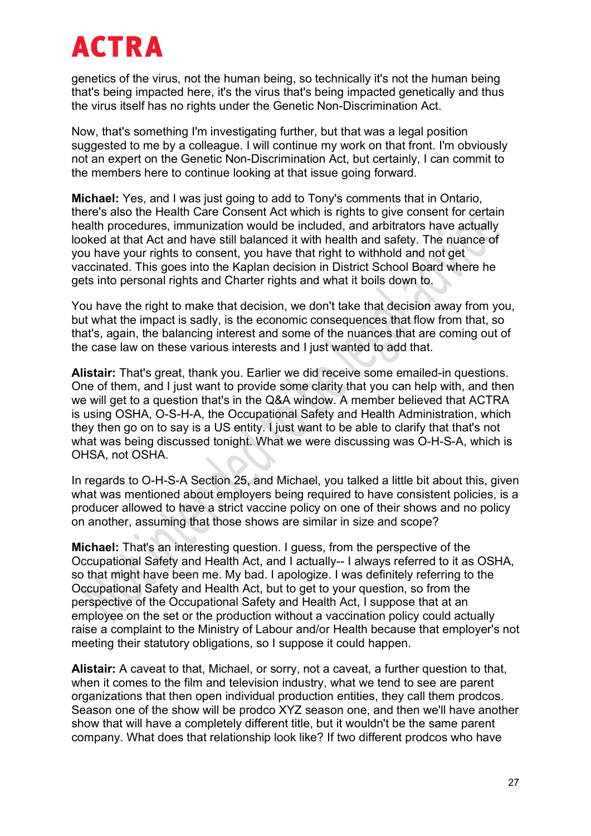genetics of the virus, not the human being, so technically it's not the human being that's being impacted here, it's the virus that's being impacted genetically and thus the virus itself has no rights under the Genetic Non-Discrimination Act.

Now, that's something I'm investigating further, but that was a legal position suggested to me by a colleague. I will continue my work on that front. I'm obviously not an expert on the Genetic Non-Discrimination Act, but certainly, I can commit to the members here to continue looking at that issue going forward.

**Michael:** Yes, and I was just going to add to Tony's comments that in Ontario, there's also the Health Care Consent Act which is rights to give consent for certain health procedures, immunization would be included, and arbitrators have actually looked at that Act and have still balanced it with health and safety. The nuance of you have your rights to consent, you have that right to withhold and not get vaccinated. This goes into the Kaplan decision in District School Board where he gets into personal rights and Charter rights and what it boils down to.

You have the right to make that decision, we don't take that decision away from you, but what the impact is sadly, is the economic consequences that flow from that, so that's, again, the balancing interest and some of the nuances that are coming out of the case law on these various interests and I just wanted to add that.

**Alistair:** That's great, thank you. Earlier we did receive some emailed-in questions. One of them, and I just want to provide some clarity that you can help with, and then we will get to a question that's in the Q&A window. A member believed that ACTRA is using OSHA, O-S-H-A, the Occupational Safety and Health Administration, which they then go on to say is a US entity. I just want to be able to clarify that that's not what was being discussed tonight. What we were discussing was O-H-S-A, which is OHSA, not OSHA.

In regards to O-H-S-A Section 25, and Michael, you talked a little bit about this, given what was mentioned about employers being required to have consistent policies, is a producer allowed to have a strict vaccine policy on one of their shows and no policy on another, assuming that those shows are similar in size and scope?

**Michael:** That's an interesting question. I guess, from the perspective of the Occupational Safety and Health Act, and I actually-- I always referred to it as OSHA, so that might have been me. My bad. I apologize. I was definitely referring to the Occupational Safety and Health Act, but to get to your question, so from the perspective of the Occupational Safety and Health Act, I suppose that at an employee on the set or the production without a vaccination policy could actually raise a complaint to the Ministry of Labour and/or Health because that employer's not meeting their statutory obligations, so I suppose it could happen.

**Alistair:** A caveat to that, Michael, or sorry, not a caveat, a further question to that, when it comes to the film and television industry, what we tend to see are parent organizations that then open individual production entities, they call them prodcos. Season one of the show will be prodco XYZ season one, and then we'll have another show that will have a completely different title, but it wouldn't be the same parent company. What does that relationship look like? If two different prodcos who have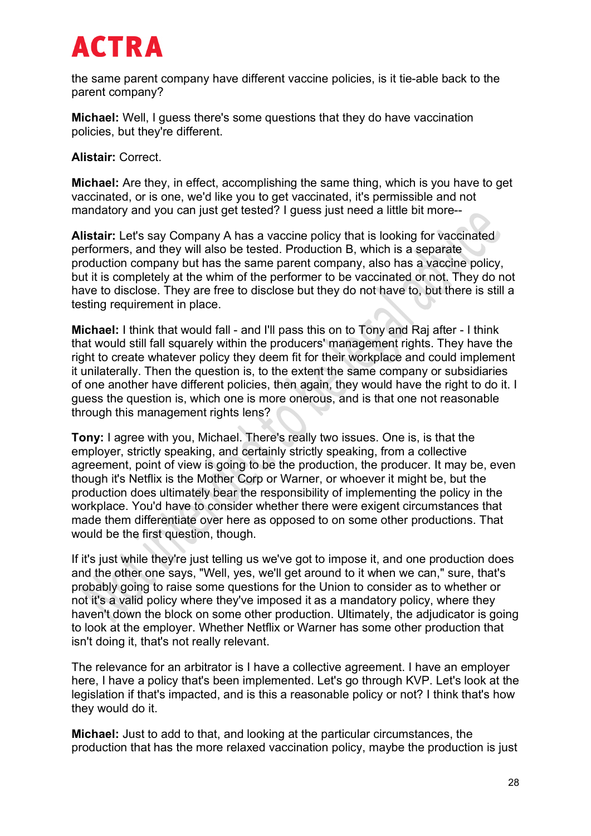the same parent company have different vaccine policies, is it tie-able back to the parent company?

**Michael:** Well, I guess there's some questions that they do have vaccination policies, but they're different.

**Alistair:** Correct.

**Michael:** Are they, in effect, accomplishing the same thing, which is you have to get vaccinated, or is one, we'd like you to get vaccinated, it's permissible and not mandatory and you can just get tested? I guess just need a little bit more--

**Alistair:** Let's say Company A has a vaccine policy that is looking for vaccinated performers, and they will also be tested. Production B, which is a separate production company but has the same parent company, also has a vaccine policy, but it is completely at the whim of the performer to be vaccinated or not. They do not have to disclose. They are free to disclose but they do not have to, but there is still a testing requirement in place.

**Michael:** I think that would fall - and I'll pass this on to Tony and Raj after - I think that would still fall squarely within the producers' management rights. They have the right to create whatever policy they deem fit for their workplace and could implement it unilaterally. Then the question is, to the extent the same company or subsidiaries of one another have different policies, then again, they would have the right to do it. I guess the question is, which one is more onerous, and is that one not reasonable through this management rights lens?

**Tony:** I agree with you, Michael. There's really two issues. One is, is that the employer, strictly speaking, and certainly strictly speaking, from a collective agreement, point of view is going to be the production, the producer. It may be, even though it's Netflix is the Mother Corp or Warner, or whoever it might be, but the production does ultimately bear the responsibility of implementing the policy in the workplace. You'd have to consider whether there were exigent circumstances that made them differentiate over here as opposed to on some other productions. That would be the first question, though.

If it's just while they're just telling us we've got to impose it, and one production does and the other one says, "Well, yes, we'll get around to it when we can," sure, that's probably going to raise some questions for the Union to consider as to whether or not it's a valid policy where they've imposed it as a mandatory policy, where they haven't down the block on some other production. Ultimately, the adjudicator is going to look at the employer. Whether Netflix or Warner has some other production that isn't doing it, that's not really relevant.

The relevance for an arbitrator is I have a collective agreement. I have an employer here, I have a policy that's been implemented. Let's go through KVP. Let's look at the legislation if that's impacted, and is this a reasonable policy or not? I think that's how they would do it.

**Michael:** Just to add to that, and looking at the particular circumstances, the production that has the more relaxed vaccination policy, maybe the production is just